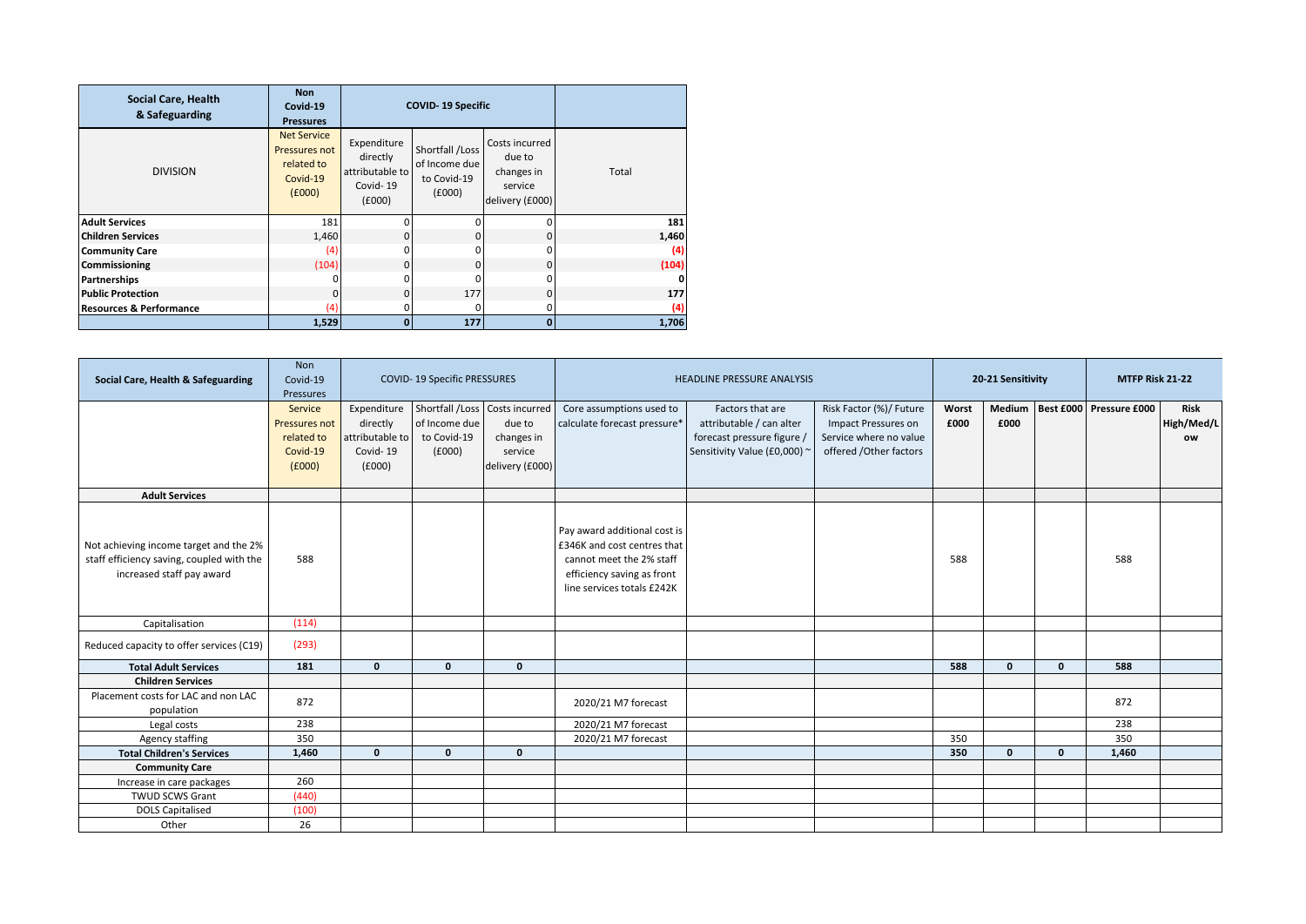| <b>Social Care, Health</b><br>& Safeguarding | <b>Non</b><br>Covid-19<br><b>Pressures</b>                              |                                                                  | <b>COVID-19 Specific</b>                                  |                                                                      |              |
|----------------------------------------------|-------------------------------------------------------------------------|------------------------------------------------------------------|-----------------------------------------------------------|----------------------------------------------------------------------|--------------|
| <b>DIVISION</b>                              | <b>Net Service</b><br>Pressures not<br>related to<br>Covid-19<br>(6000) | Expenditure<br>directly<br>attributable to<br>Covid-19<br>(£000) | Shortfall /Loss<br>of Income due<br>to Covid-19<br>(6000) | Costs incurred<br>due to<br>changes in<br>service<br>delivery (£000) | Total        |
| <b>Adult Services</b>                        | 181                                                                     | ŋ                                                                | $\Omega$                                                  | 0                                                                    | 181          |
| <b>Children Services</b>                     | 1,460                                                                   | 0                                                                | $\Omega$                                                  | 0                                                                    | 1,460        |
| <b>Community Care</b>                        | (4)                                                                     | O                                                                | n                                                         | 0                                                                    | (4)          |
| <b>Commissioning</b>                         | (104)                                                                   | 0                                                                | $\Omega$                                                  | 0                                                                    | (104)        |
| <b>Partnerships</b>                          |                                                                         | O                                                                |                                                           | 0                                                                    | $\mathbf{0}$ |
| <b>Public Protection</b>                     | 0                                                                       | $\Omega$                                                         | 177                                                       | 0                                                                    | 177          |
| <b>Resources &amp; Performance</b>           | (4)                                                                     | ŋ                                                                | <sup>0</sup>                                              | 0                                                                    | (4)          |
|                                              | 1,529                                                                   | $\Omega$                                                         | 177                                                       | $\mathbf{0}$                                                         | 1,706        |

| Social Care, Health & Safeguarding                                                                               | <b>Non</b><br>Covid-19<br>Pressures                          |                                                     | <b>COVID-19 Specific PRESSURES</b>                                     |                                                                      |                                                                                                                                                     | <b>HEADLINE PRESSURE ANALYSIS</b>                                                                          |                                                                                                    |               | 20-21 Sensitivity |              | MTFP Risk 21-22         |                                 |
|------------------------------------------------------------------------------------------------------------------|--------------------------------------------------------------|-----------------------------------------------------|------------------------------------------------------------------------|----------------------------------------------------------------------|-----------------------------------------------------------------------------------------------------------------------------------------------------|------------------------------------------------------------------------------------------------------------|----------------------------------------------------------------------------------------------------|---------------|-------------------|--------------|-------------------------|---------------------------------|
|                                                                                                                  | Service<br>Pressures not<br>related to<br>Covid-19<br>(£000) | directly<br>attributable to l<br>Covid-19<br>(f000) | Expenditure Shortfall / Loss<br>of Income due<br>to Covid-19<br>f(000) | Costs incurred<br>due to<br>changes in<br>service<br>delivery (£000) | Core assumptions used to<br>calculate forecast pressure*                                                                                            | Factors that are<br>attributable / can alter<br>forecast pressure figure /<br>Sensitivity Value (£0,000) ~ | Risk Factor (%)/ Future<br>Impact Pressures on<br>Service where no value<br>offered /Other factors | Worst<br>£000 | Medium<br>£000    |              | Best £000 Pressure £000 | <b>Risk</b><br>High/Med/L<br>ow |
| <b>Adult Services</b>                                                                                            |                                                              |                                                     |                                                                        |                                                                      |                                                                                                                                                     |                                                                                                            |                                                                                                    |               |                   |              |                         |                                 |
| Not achieving income target and the 2%<br>staff efficiency saving, coupled with the<br>increased staff pay award | 588                                                          |                                                     |                                                                        |                                                                      | Pay award additional cost is<br>£346K and cost centres that<br>cannot meet the 2% staff<br>efficiency saving as front<br>line services totals £242K |                                                                                                            |                                                                                                    | 588           |                   |              | 588                     |                                 |
| Capitalisation                                                                                                   | (114)                                                        |                                                     |                                                                        |                                                                      |                                                                                                                                                     |                                                                                                            |                                                                                                    |               |                   |              |                         |                                 |
| Reduced capacity to offer services (C19)                                                                         | (293)                                                        |                                                     |                                                                        |                                                                      |                                                                                                                                                     |                                                                                                            |                                                                                                    |               |                   |              |                         |                                 |
| <b>Total Adult Services</b>                                                                                      | 181                                                          | $\mathbf{0}$                                        | $\mathbf{0}$                                                           | $\Omega$                                                             |                                                                                                                                                     |                                                                                                            |                                                                                                    | 588           | $\mathbf{0}$      | $\mathbf{0}$ | 588                     |                                 |
| <b>Children Services</b>                                                                                         |                                                              |                                                     |                                                                        |                                                                      |                                                                                                                                                     |                                                                                                            |                                                                                                    |               |                   |              |                         |                                 |
| Placement costs for LAC and non LAC<br>population                                                                | 872                                                          |                                                     |                                                                        |                                                                      | 2020/21 M7 forecast                                                                                                                                 |                                                                                                            |                                                                                                    |               |                   |              | 872                     |                                 |
| Legal costs                                                                                                      | 238                                                          |                                                     |                                                                        |                                                                      | 2020/21 M7 forecast                                                                                                                                 |                                                                                                            |                                                                                                    |               |                   |              | 238                     |                                 |
| Agency staffing                                                                                                  | 350                                                          |                                                     |                                                                        |                                                                      | 2020/21 M7 forecast                                                                                                                                 |                                                                                                            |                                                                                                    | 350           |                   |              | 350                     |                                 |
| <b>Total Children's Services</b>                                                                                 | 1,460                                                        | $\mathbf{0}$                                        | $\mathbf{0}$                                                           | $\mathbf{0}$                                                         |                                                                                                                                                     |                                                                                                            |                                                                                                    | 350           | $\mathbf{0}$      | $\mathbf{0}$ | 1,460                   |                                 |
| <b>Community Care</b>                                                                                            |                                                              |                                                     |                                                                        |                                                                      |                                                                                                                                                     |                                                                                                            |                                                                                                    |               |                   |              |                         |                                 |
| Increase in care packages                                                                                        | 260                                                          |                                                     |                                                                        |                                                                      |                                                                                                                                                     |                                                                                                            |                                                                                                    |               |                   |              |                         |                                 |
| <b>TWUD SCWS Grant</b>                                                                                           | (440)                                                        |                                                     |                                                                        |                                                                      |                                                                                                                                                     |                                                                                                            |                                                                                                    |               |                   |              |                         |                                 |
| <b>DOLS Capitalised</b>                                                                                          | (100)                                                        |                                                     |                                                                        |                                                                      |                                                                                                                                                     |                                                                                                            |                                                                                                    |               |                   |              |                         |                                 |
| Other                                                                                                            | 26                                                           |                                                     |                                                                        |                                                                      |                                                                                                                                                     |                                                                                                            |                                                                                                    |               |                   |              |                         |                                 |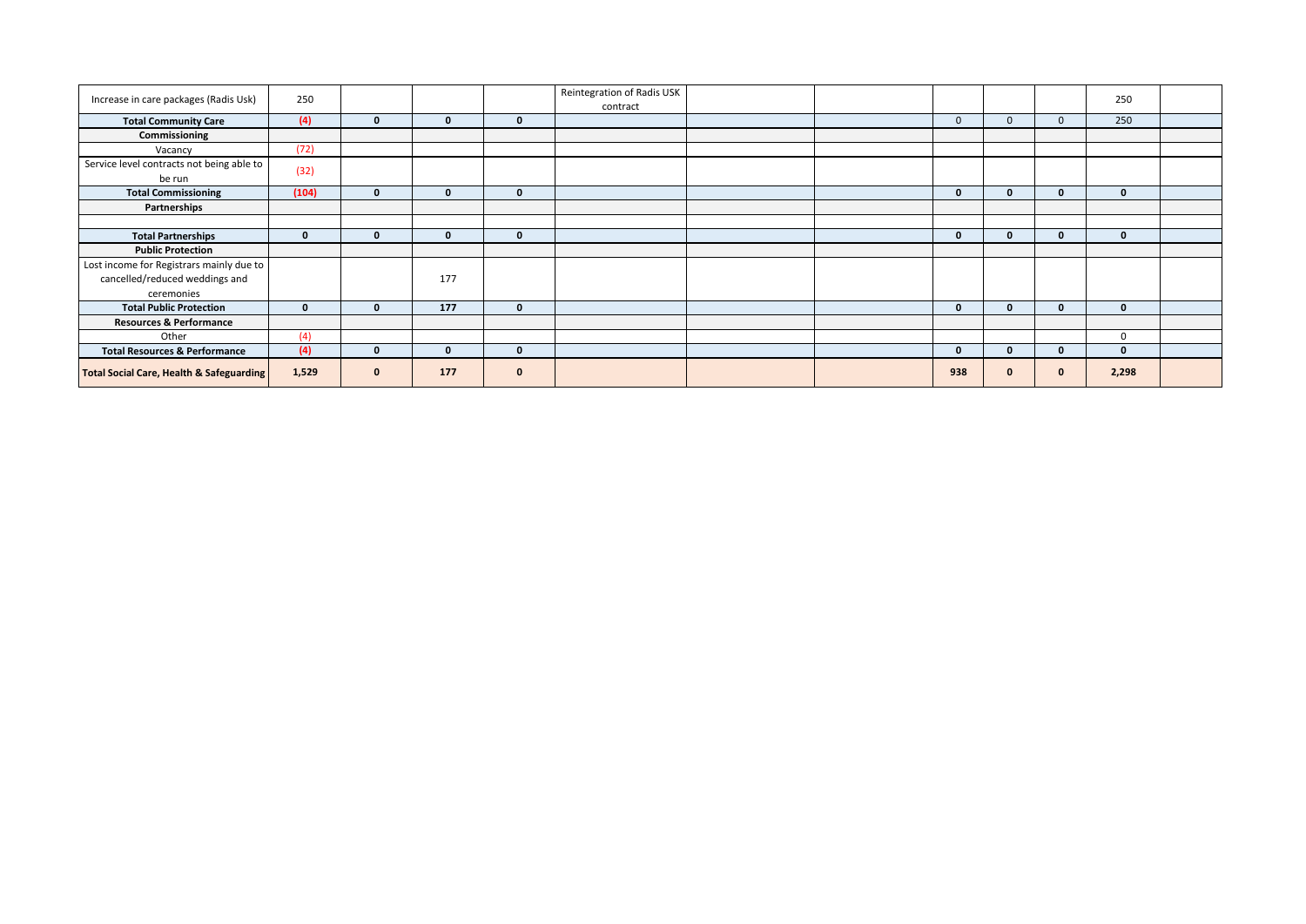| Increase in care packages (Radis Usk)                                                    | 250          |              |              |             | Reintegration of Radis USK<br>contract |  |              |    |              | 250          |  |
|------------------------------------------------------------------------------------------|--------------|--------------|--------------|-------------|----------------------------------------|--|--------------|----|--------------|--------------|--|
| <b>Total Community Care</b>                                                              | (4)          | $\Omega$     | $\mathbf{0}$ | $\bf{0}$    |                                        |  | $\mathbf{0}$ |    | $\mathbf{0}$ | 250          |  |
| Commissioning                                                                            |              |              |              |             |                                        |  |              |    |              |              |  |
| Vacancy                                                                                  | (72)         |              |              |             |                                        |  |              |    |              |              |  |
| Service level contracts not being able to<br>be run                                      | (32)         |              |              |             |                                        |  |              |    |              |              |  |
| <b>Total Commissioning</b>                                                               | (104)        | $\Omega$     | $\mathbf{0}$ | $\bf{0}$    |                                        |  | $\mathbf{0}$ | n  | $\mathbf{0}$ | $\mathbf{0}$ |  |
| Partnerships                                                                             |              |              |              |             |                                        |  |              |    |              |              |  |
|                                                                                          |              |              |              |             |                                        |  |              |    |              |              |  |
| <b>Total Partnerships</b>                                                                | $\mathbf 0$  | $\mathbf{0}$ | $\mathbf{0}$ | $\mathbf 0$ |                                        |  | $\mathbf{0}$ | 0  | $\mathbf{0}$ | $\mathbf{0}$ |  |
| <b>Public Protection</b>                                                                 |              |              |              |             |                                        |  |              |    |              |              |  |
| Lost income for Registrars mainly due to<br>cancelled/reduced weddings and<br>ceremonies |              |              | 177          |             |                                        |  |              |    |              |              |  |
| <b>Total Public Protection</b>                                                           | $\mathbf{0}$ | $\Omega$     | 177          | $\mathbf 0$ |                                        |  | $\mathbf{0}$ | O. | $\mathbf{0}$ | $\mathbf{0}$ |  |
| <b>Resources &amp; Performance</b>                                                       |              |              |              |             |                                        |  |              |    |              |              |  |
| Other                                                                                    | (4)          |              |              |             |                                        |  |              |    |              | $\mathbf 0$  |  |
| <b>Total Resources &amp; Performance</b>                                                 | (4)          | $\Omega$     | $\bf{0}$     | $\mathbf 0$ |                                        |  | $\mathbf{0}$ | n  | $\bf{0}$     | $\mathbf{0}$ |  |
| <b>Total Social Care, Health &amp; Safeguarding</b>                                      | 1,529        | $\mathbf{0}$ | 177          | $\bf{0}$    |                                        |  | 938          |    | $\mathbf 0$  | 2,298        |  |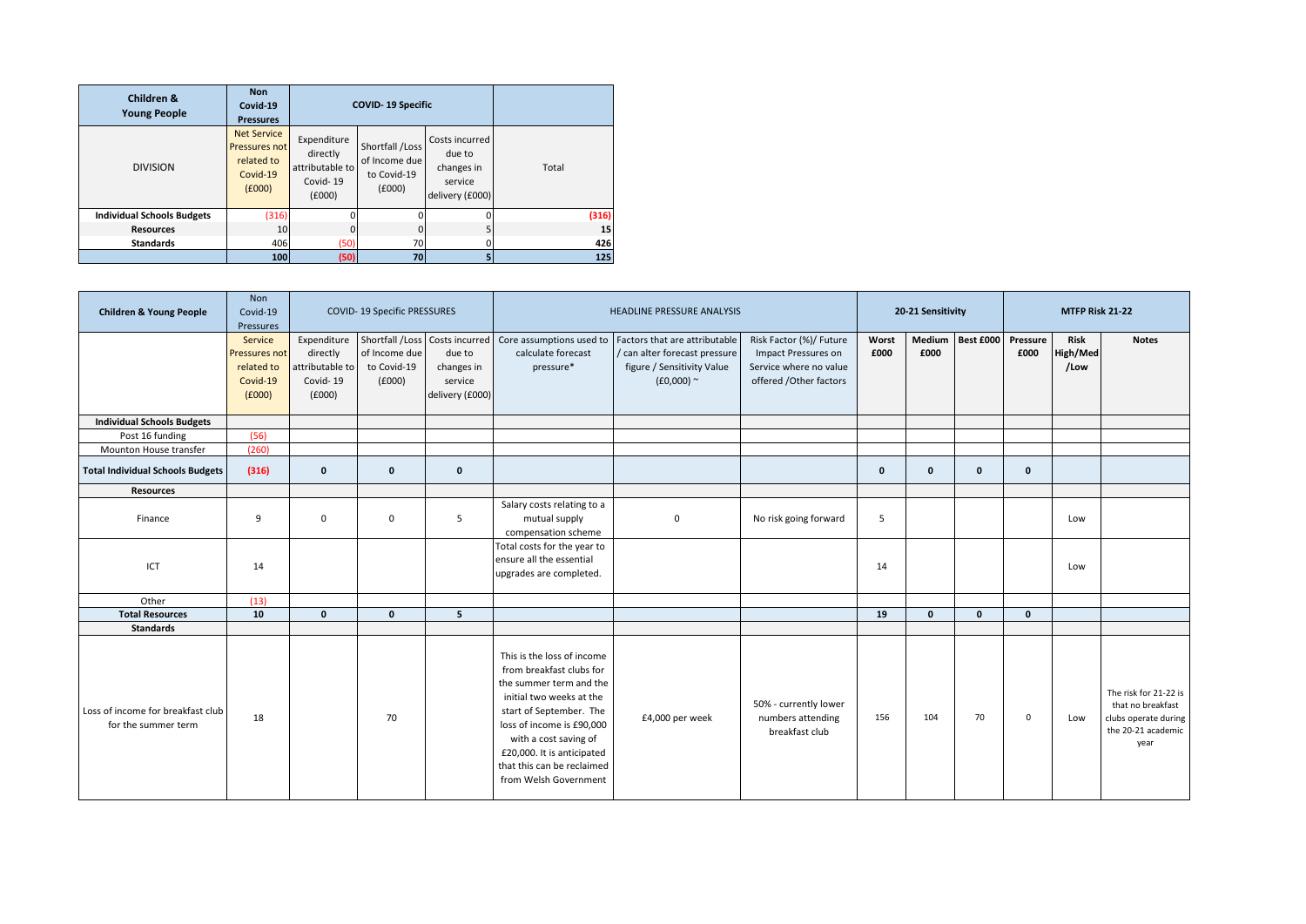| Children &<br><b>Young People</b> | <b>Non</b><br>Covid-19<br><b>Pressures</b>                              |                                                                  | <b>COVID-19 Specific</b>                                  |                                                                      |       |
|-----------------------------------|-------------------------------------------------------------------------|------------------------------------------------------------------|-----------------------------------------------------------|----------------------------------------------------------------------|-------|
| <b>DIVISION</b>                   | <b>Net Service</b><br>Pressures not<br>related to<br>Covid-19<br>f(000) | Expenditure<br>directly<br>attributable to<br>Covid-19<br>(£000) | Shortfall /Loss<br>of Income due<br>to Covid-19<br>(£000) | Costs incurred<br>due to<br>changes in<br>service<br>delivery (£000) | Total |
| <b>Individual Schools Budgets</b> | (316)                                                                   |                                                                  |                                                           |                                                                      | (316) |
| <b>Resources</b>                  | 10                                                                      | $\Omega$                                                         | <sup>0</sup>                                              |                                                                      | 15    |
| <b>Standards</b>                  | 406                                                                     | (50)                                                             | 70                                                        |                                                                      | 426   |
|                                   | 100                                                                     | (50)                                                             | 70                                                        |                                                                      | 125   |

| <b>Children &amp; Young People</b>                       | Non<br>Covid-19<br>Pressures                                 |                                                                 | <b>COVID-19 Specific PRESSURES</b>     |                                                    |                                                                                                                                                                                                                                                                                     | HEADLINE PRESSURE ANALYSIS                                                                                                                                                 |                                                                                                    |               | 20-21 Sensitivity |              |                  | MTFP Risk 21-22                 |                                                                                                  |
|----------------------------------------------------------|--------------------------------------------------------------|-----------------------------------------------------------------|----------------------------------------|----------------------------------------------------|-------------------------------------------------------------------------------------------------------------------------------------------------------------------------------------------------------------------------------------------------------------------------------------|----------------------------------------------------------------------------------------------------------------------------------------------------------------------------|----------------------------------------------------------------------------------------------------|---------------|-------------------|--------------|------------------|---------------------------------|--------------------------------------------------------------------------------------------------|
|                                                          | Service<br>Pressures not<br>related to<br>Covid-19<br>(f000) | Expenditure<br>directly<br>ttributable to<br>Covid-19<br>(£000) | of Income due<br>to Covid-19<br>(£000) | due to<br>changes in<br>service<br>delivery (£000) | calculate forecast<br>pressure*                                                                                                                                                                                                                                                     | Shortfall /Loss   Costs incurred   Core assumptions used to   Factors that are attributable<br>/ can alter forecast pressure<br>figure / Sensitivity Value<br>$(£0,000)$ ~ | Risk Factor (%)/ Future<br>Impact Pressures on<br>Service where no value<br>offered /Other factors | Worst<br>£000 | Medium<br>£000    | Best £000    | Pressure<br>£000 | <b>Risk</b><br>High/Med<br>/Low | <b>Notes</b>                                                                                     |
| <b>Individual Schools Budgets</b>                        |                                                              |                                                                 |                                        |                                                    |                                                                                                                                                                                                                                                                                     |                                                                                                                                                                            |                                                                                                    |               |                   |              |                  |                                 |                                                                                                  |
| Post 16 funding                                          | (56)                                                         |                                                                 |                                        |                                                    |                                                                                                                                                                                                                                                                                     |                                                                                                                                                                            |                                                                                                    |               |                   |              |                  |                                 |                                                                                                  |
| Mounton House transfer                                   | (260)                                                        |                                                                 |                                        |                                                    |                                                                                                                                                                                                                                                                                     |                                                                                                                                                                            |                                                                                                    |               |                   |              |                  |                                 |                                                                                                  |
| <b>Total Individual Schools Budgets</b>                  | (316)                                                        | 0                                                               | $\mathbf 0$                            | $\mathbf 0$                                        |                                                                                                                                                                                                                                                                                     |                                                                                                                                                                            |                                                                                                    | $\mathbf{0}$  | $\mathbf{0}$      | $\mathbf{0}$ | $\mathbf{0}$     |                                 |                                                                                                  |
| <b>Resources</b>                                         |                                                              |                                                                 |                                        |                                                    |                                                                                                                                                                                                                                                                                     |                                                                                                                                                                            |                                                                                                    |               |                   |              |                  |                                 |                                                                                                  |
| Finance                                                  | 9                                                            | 0                                                               | $\mathbf 0$                            | 5                                                  | Salary costs relating to a<br>mutual supply<br>compensation scheme                                                                                                                                                                                                                  | $\mathbf{0}$                                                                                                                                                               | No risk going forward                                                                              | 5             |                   |              |                  | Low                             |                                                                                                  |
| ICT                                                      | 14                                                           |                                                                 |                                        |                                                    | Total costs for the year to<br>ensure all the essential<br>upgrades are completed.                                                                                                                                                                                                  |                                                                                                                                                                            |                                                                                                    | 14            |                   |              |                  | Low                             |                                                                                                  |
| Other                                                    | (13)                                                         |                                                                 |                                        |                                                    |                                                                                                                                                                                                                                                                                     |                                                                                                                                                                            |                                                                                                    |               |                   |              |                  |                                 |                                                                                                  |
| <b>Total Resources</b>                                   | 10                                                           | $\mathbf{0}$                                                    | $\mathbf{0}$                           | 5 <sup>5</sup>                                     |                                                                                                                                                                                                                                                                                     |                                                                                                                                                                            |                                                                                                    | 19            | $\mathbf{0}$      | $\mathbf{0}$ | $\mathbf{0}$     |                                 |                                                                                                  |
| <b>Standards</b>                                         |                                                              |                                                                 |                                        |                                                    |                                                                                                                                                                                                                                                                                     |                                                                                                                                                                            |                                                                                                    |               |                   |              |                  |                                 |                                                                                                  |
| Loss of income for breakfast club<br>for the summer term | 18                                                           |                                                                 | 70                                     |                                                    | This is the loss of income<br>from breakfast clubs for<br>the summer term and the<br>initial two weeks at the<br>start of September. The<br>loss of income is £90,000<br>with a cost saving of<br>£20,000. It is anticipated<br>that this can be reclaimed<br>from Welsh Government | £4,000 per week                                                                                                                                                            | 50% - currently lower<br>numbers attending<br>breakfast club                                       | 156           | 104               | 70           | $\mathbf 0$      | Low                             | The risk for 21-22 is<br>that no breakfast<br>clubs operate during<br>the 20-21 academic<br>year |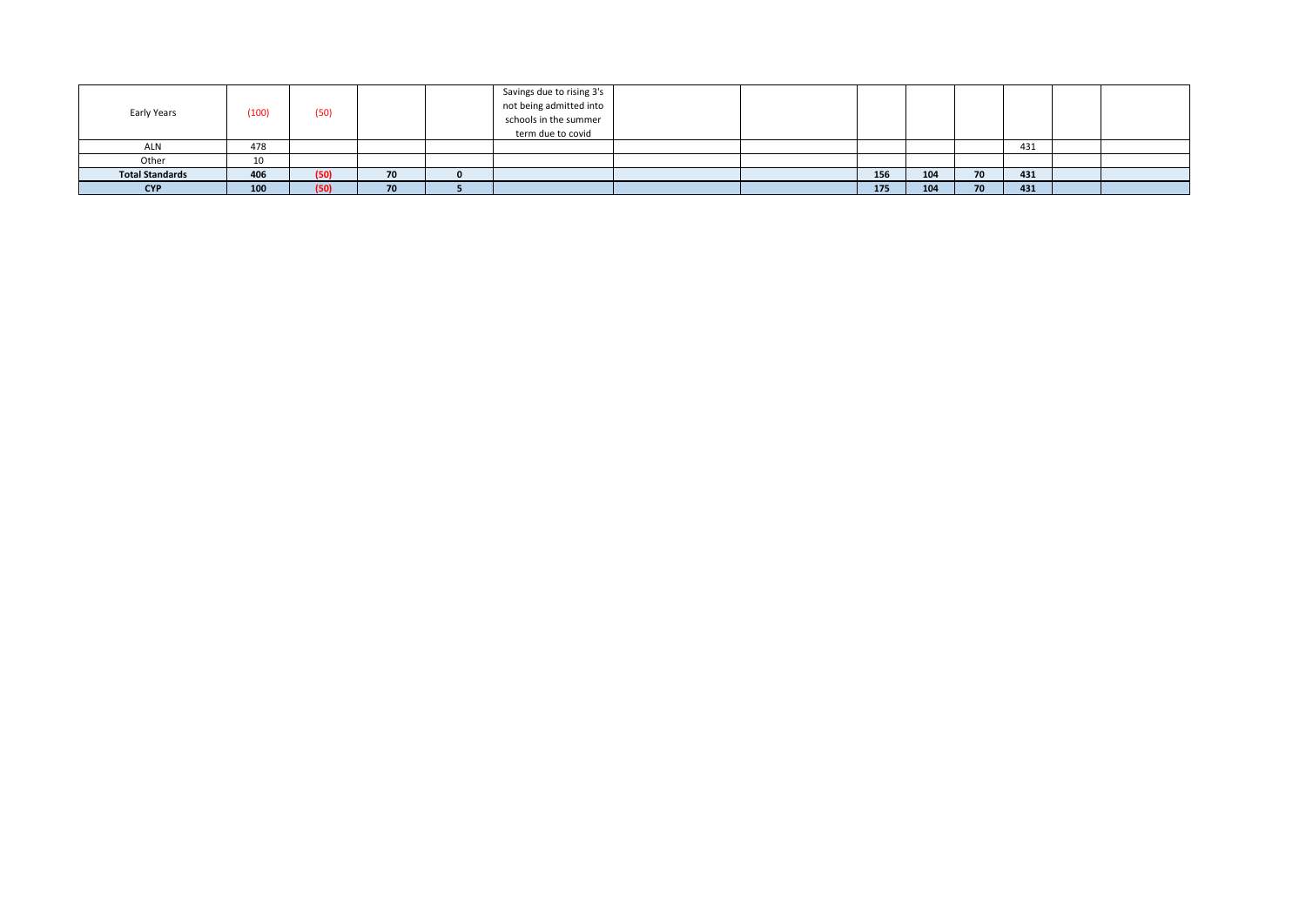| Early Years            | (100) | (50) |    | Savings due to rising 3's<br>not being admitted into<br>schools in the summer<br>term due to covid |  |     |     |    |     |  |
|------------------------|-------|------|----|----------------------------------------------------------------------------------------------------|--|-----|-----|----|-----|--|
| ALN                    | 478   |      |    |                                                                                                    |  |     |     |    | 431 |  |
| Other                  | 10    |      |    |                                                                                                    |  |     |     |    |     |  |
| <b>Total Standards</b> | 406   | (50) | 70 |                                                                                                    |  | 156 | 104 | 70 | 431 |  |
| <b>CYP</b>             | 100   | (50) | 70 |                                                                                                    |  | 175 | 104 | 70 | 431 |  |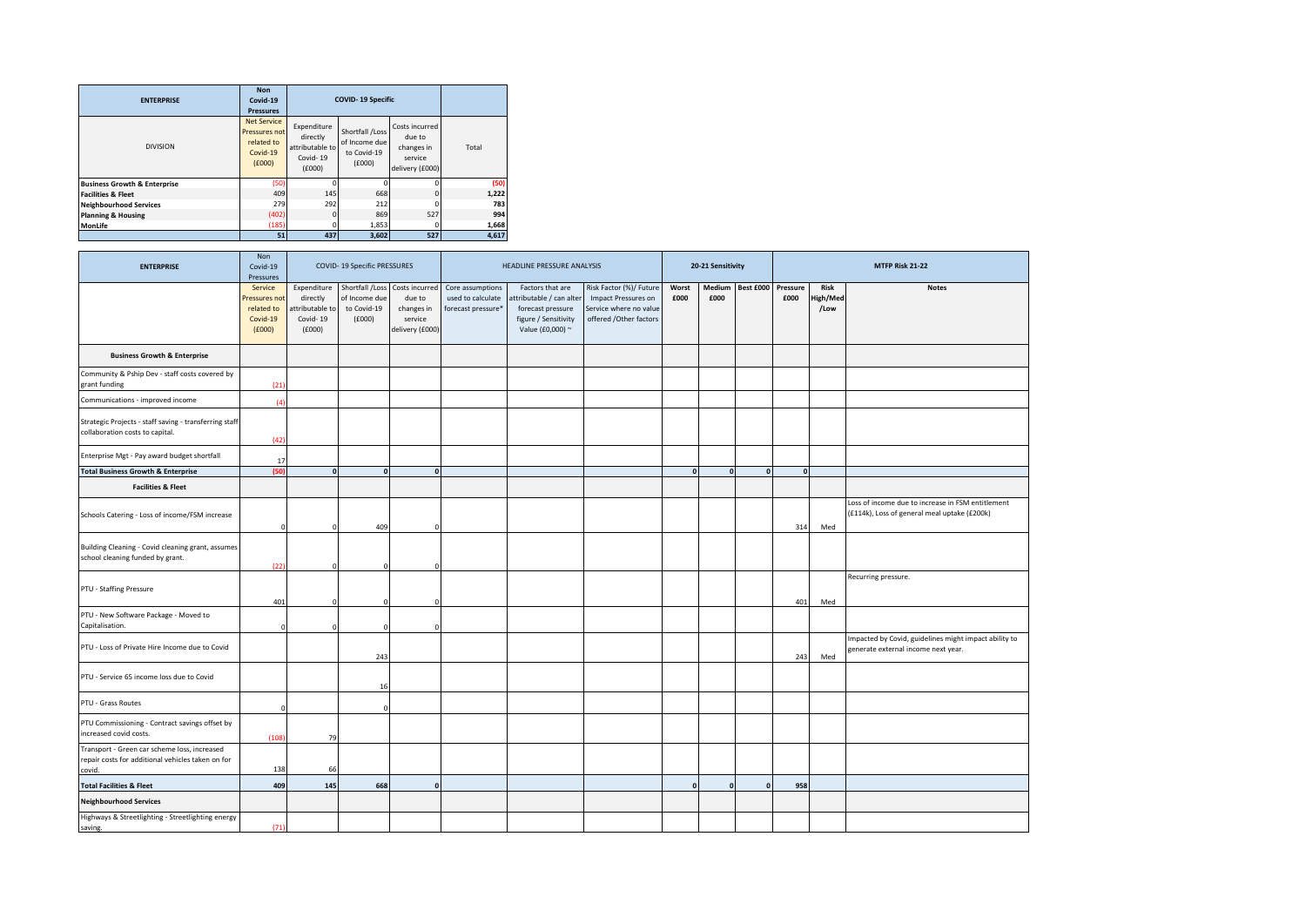| <b>ENTERPRISE</b>                       | <b>Non</b><br>Covid-19<br><b>Pressures</b>                              |                                                                  | <b>COVID-19 Specific</b>                                  |                                                                      |       |
|-----------------------------------------|-------------------------------------------------------------------------|------------------------------------------------------------------|-----------------------------------------------------------|----------------------------------------------------------------------|-------|
| <b>DIVISION</b>                         | <b>Net Service</b><br>Pressures not<br>related to<br>Covid-19<br>f(000) | Expenditure<br>directly<br>attributable to<br>Covid-19<br>(£000) | Shortfall /Loss<br>of Income due<br>to Covid-19<br>(6000) | Costs incurred<br>due to<br>changes in<br>service<br>delivery (£000) | Total |
| <b>Business Growth &amp; Enterprise</b> | (50)                                                                    |                                                                  | 0                                                         | n                                                                    | (50)  |
| <b>Facilities &amp; Fleet</b>           | 409                                                                     | 145                                                              | 668                                                       | $\Omega$                                                             | 1,222 |
| <b>Neighbourhood Services</b>           | 279                                                                     | 292                                                              | 212                                                       | $\Omega$                                                             | 783   |
| <b>Planning &amp; Housing</b>           | (402)                                                                   | $\Omega$                                                         | 869                                                       | 527                                                                  | 994   |
| <b>MonLife</b>                          | (185)                                                                   | 0                                                                | 1,853                                                     | 0                                                                    | 1,668 |
|                                         | 51                                                                      | 437                                                              | 3,602                                                     | 527                                                                  | 4,617 |

| <b>ENTERPRISE</b>                                                                                           | Non<br>Covid-19<br>Pressures                                |                                                                 | COVID-19 Specific PRESSURES                               |                                                                      |                                                             | HEADLINE PRESSURE ANALYSIS                                                                                   |                                                                                                           |               | 20-21 Sensitivity |                  |                  |                          | MTFP Risk 21-22                                                                                   |
|-------------------------------------------------------------------------------------------------------------|-------------------------------------------------------------|-----------------------------------------------------------------|-----------------------------------------------------------|----------------------------------------------------------------------|-------------------------------------------------------------|--------------------------------------------------------------------------------------------------------------|-----------------------------------------------------------------------------------------------------------|---------------|-------------------|------------------|------------------|--------------------------|---------------------------------------------------------------------------------------------------|
|                                                                                                             | Service<br>ressures not<br>related to<br>Covid-19<br>f(000) | Expenditure<br>directly<br>ttributable to<br>Covid-19<br>f(000) | Shortfall /Loss<br>of Income due<br>to Covid-19<br>(£000) | Costs incurred<br>due to<br>changes in<br>service<br>delivery (£000) | Core assumptions<br>used to calculate<br>forecast pressure* | Factors that are<br>ttributable / can alter<br>forecast pressure<br>figure / Sensitivity<br>Value (£0,000) ~ | Risk Factor (%)/ Future<br><b>Impact Pressures on</b><br>Service where no value<br>offered /Other factors | Worst<br>£000 | £000              | Medium Best £000 | Pressure<br>£000 | Risk<br>ligh/Med<br>/Low | <b>Notes</b>                                                                                      |
| <b>Business Growth &amp; Enterprise</b>                                                                     |                                                             |                                                                 |                                                           |                                                                      |                                                             |                                                                                                              |                                                                                                           |               |                   |                  |                  |                          |                                                                                                   |
| Community & Pship Dev - staff costs covered by<br>grant funding                                             | (21)                                                        |                                                                 |                                                           |                                                                      |                                                             |                                                                                                              |                                                                                                           |               |                   |                  |                  |                          |                                                                                                   |
| Communications - improved income                                                                            | (4)                                                         |                                                                 |                                                           |                                                                      |                                                             |                                                                                                              |                                                                                                           |               |                   |                  |                  |                          |                                                                                                   |
| Strategic Projects - staff saving - transferring staff<br>collaboration costs to capital.                   | (42)                                                        |                                                                 |                                                           |                                                                      |                                                             |                                                                                                              |                                                                                                           |               |                   |                  |                  |                          |                                                                                                   |
| Enterprise Mgt - Pay award budget shortfall                                                                 | 17                                                          |                                                                 |                                                           |                                                                      |                                                             |                                                                                                              |                                                                                                           |               |                   |                  |                  |                          |                                                                                                   |
| <b>Total Business Growth &amp; Enterprise</b>                                                               | (50)                                                        | $\Omega$                                                        | $\Omega$                                                  | $\mathbf{o}$                                                         |                                                             |                                                                                                              |                                                                                                           | $\Omega$      | $\Omega$          | $\mathbf{0}$     |                  |                          |                                                                                                   |
| <b>Facilities &amp; Fleet</b>                                                                               |                                                             |                                                                 |                                                           |                                                                      |                                                             |                                                                                                              |                                                                                                           |               |                   |                  |                  |                          |                                                                                                   |
| Schools Catering - Loss of income/FSM increase                                                              | $\Omega$                                                    | $\Omega$                                                        | 409                                                       | $\Omega$                                                             |                                                             |                                                                                                              |                                                                                                           |               |                   |                  | 314              | Med                      | Loss of income due to increase in FSM entitlement<br>(£114k), Loss of general meal uptake (£200k) |
| Building Cleaning - Covid cleaning grant, assumes<br>school cleaning funded by grant.                       | 122                                                         |                                                                 |                                                           | $\Omega$                                                             |                                                             |                                                                                                              |                                                                                                           |               |                   |                  |                  |                          |                                                                                                   |
| PTU - Staffing Pressure                                                                                     | 401                                                         |                                                                 |                                                           |                                                                      |                                                             |                                                                                                              |                                                                                                           |               |                   |                  | 401              | Med                      | Recurring pressure.                                                                               |
| PTU - New Software Package - Moved to<br>Capitalisation.                                                    |                                                             |                                                                 |                                                           |                                                                      |                                                             |                                                                                                              |                                                                                                           |               |                   |                  |                  |                          |                                                                                                   |
| PTU - Loss of Private Hire Income due to Covid                                                              |                                                             |                                                                 | 243                                                       |                                                                      |                                                             |                                                                                                              |                                                                                                           |               |                   |                  | 243              | Med                      | Impacted by Covid, guidelines might impact ability to<br>generate external income next year.      |
| PTU - Service 65 income loss due to Covid                                                                   |                                                             |                                                                 | 16                                                        |                                                                      |                                                             |                                                                                                              |                                                                                                           |               |                   |                  |                  |                          |                                                                                                   |
| PTU - Grass Routes                                                                                          | $\Omega$                                                    |                                                                 | $\Omega$                                                  |                                                                      |                                                             |                                                                                                              |                                                                                                           |               |                   |                  |                  |                          |                                                                                                   |
| PTU Commissioning - Contract savings offset by<br>increased covid costs.                                    | (108)                                                       | 79                                                              |                                                           |                                                                      |                                                             |                                                                                                              |                                                                                                           |               |                   |                  |                  |                          |                                                                                                   |
| Transport - Green car scheme loss, increased<br>repair costs for additional vehicles taken on for<br>covid. | 138                                                         | 66                                                              |                                                           |                                                                      |                                                             |                                                                                                              |                                                                                                           |               |                   |                  |                  |                          |                                                                                                   |
| <b>Total Facilities &amp; Fleet</b>                                                                         | 409                                                         | 145                                                             | 668                                                       | $\mathbf{0}$                                                         |                                                             |                                                                                                              |                                                                                                           | $\mathbf{0}$  | $\mathbf{o}$      | $\mathbf{0}$     | 958              |                          |                                                                                                   |
| <b>Neighbourhood Services</b>                                                                               |                                                             |                                                                 |                                                           |                                                                      |                                                             |                                                                                                              |                                                                                                           |               |                   |                  |                  |                          |                                                                                                   |
| Highways & Streetlighting - Streetlighting energy<br>saving.                                                | (71)                                                        |                                                                 |                                                           |                                                                      |                                                             |                                                                                                              |                                                                                                           |               |                   |                  |                  |                          |                                                                                                   |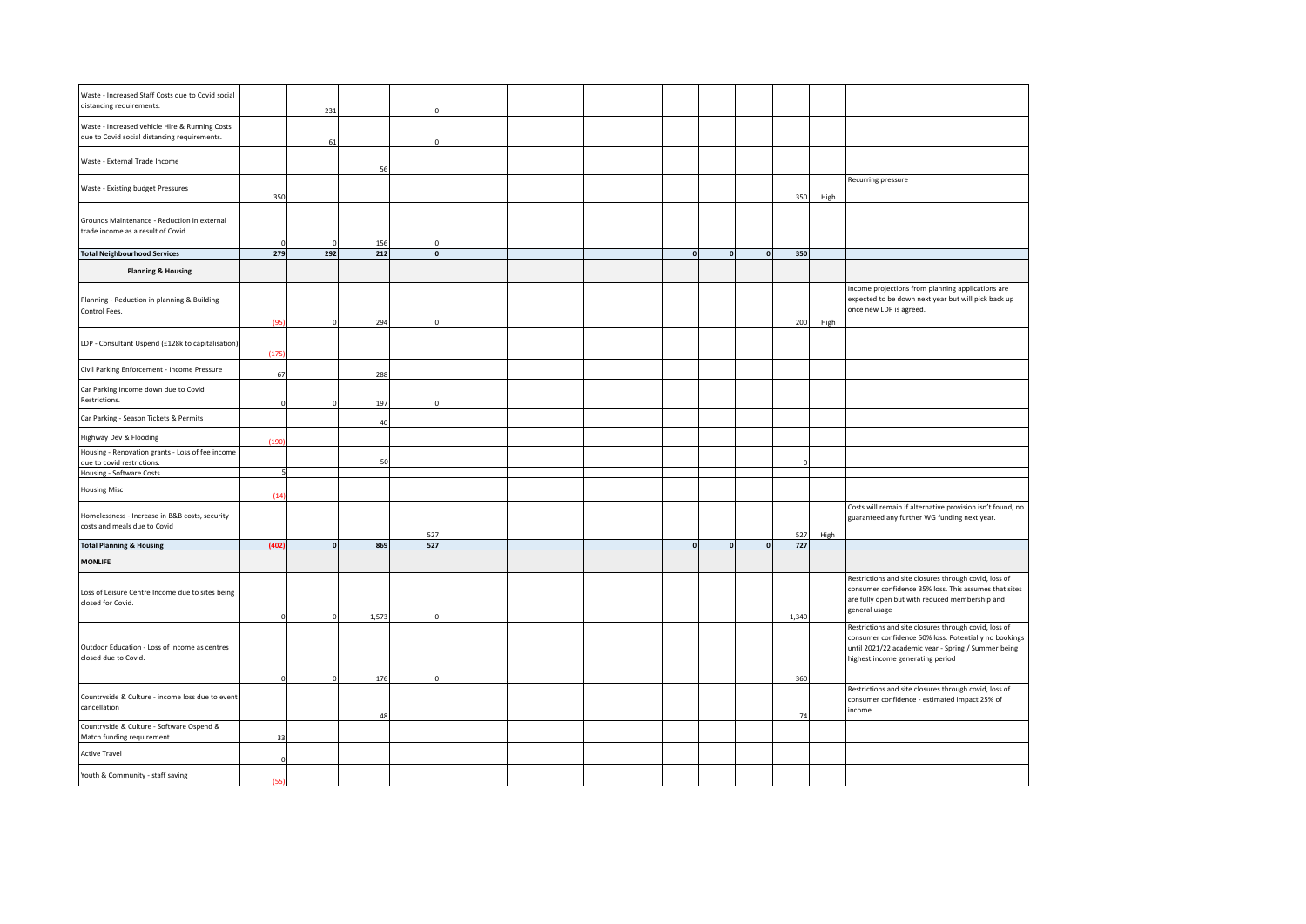| Waste - Increased Staff Costs due to Covid social<br>distancing requirements.                  |          | 231      |           |              |  |                    |          |          |           |      |                                                                                                                                                                                                           |
|------------------------------------------------------------------------------------------------|----------|----------|-----------|--------------|--|--------------------|----------|----------|-----------|------|-----------------------------------------------------------------------------------------------------------------------------------------------------------------------------------------------------------|
| Waste - Increased vehicle Hire & Running Costs<br>due to Covid social distancing requirements. |          | 61       |           |              |  |                    |          |          |           |      |                                                                                                                                                                                                           |
| Waste - External Trade Income                                                                  |          |          | 56        |              |  |                    |          |          |           |      |                                                                                                                                                                                                           |
| Waste - Existing budget Pressures                                                              | 350      |          |           |              |  |                    |          |          | 350       | High | Recurring pressure                                                                                                                                                                                        |
| Grounds Maintenance - Reduction in external<br>trade income as a result of Covid.              |          |          | 156       | $\Omega$     |  |                    |          |          |           |      |                                                                                                                                                                                                           |
| <b>Total Neighbourhood Services</b>                                                            | 279      | 292      | 212       | $\mathbf{0}$ |  | $\pmb{\mathsf{o}}$ | $\Omega$ | $\Omega$ | 350       |      |                                                                                                                                                                                                           |
| <b>Planning &amp; Housing</b>                                                                  |          |          |           |              |  |                    |          |          |           |      |                                                                                                                                                                                                           |
| Planning - Reduction in planning & Building<br>Control Fees.                                   | (95)     | $\Omega$ | 294       |              |  |                    |          |          | 200       | High | Income projections from planning applications are<br>expected to be down next year but will pick back up<br>once new LDP is agreed.                                                                       |
| LDP - Consultant Uspend (£128k to capitalisation)                                              | (175)    |          |           |              |  |                    |          |          |           |      |                                                                                                                                                                                                           |
| Civil Parking Enforcement - Income Pressure                                                    | 67       |          | 288       |              |  |                    |          |          |           |      |                                                                                                                                                                                                           |
| Car Parking Income down due to Covid<br>Restrictions.                                          |          |          | 197       |              |  |                    |          |          |           |      |                                                                                                                                                                                                           |
| Car Parking - Season Tickets & Permits                                                         |          |          | 40        |              |  |                    |          |          |           |      |                                                                                                                                                                                                           |
| Highway Dev & Flooding                                                                         | (190)    |          |           |              |  |                    |          |          |           |      |                                                                                                                                                                                                           |
| Housing - Renovation grants - Loss of fee income<br>due to covid restrictions.                 |          |          | 50        |              |  |                    |          |          |           |      |                                                                                                                                                                                                           |
| Housing - Software Costs                                                                       |          |          |           |              |  |                    |          |          |           |      |                                                                                                                                                                                                           |
| <b>Housing Misc</b>                                                                            | (14)     |          |           |              |  |                    |          |          |           |      |                                                                                                                                                                                                           |
| Homelessness - Increase in B&B costs, security<br>costs and meals due to Covid                 |          |          |           | 527          |  |                    |          |          | 527       | High | Costs will remain if alternative provision isn't found, no<br>guaranteed any further WG funding next year.                                                                                                |
| <b>Total Planning &amp; Housing</b>                                                            | (402)    |          | 869       | 527          |  | $\mathbf{0}$       | $\Omega$ |          | 727       |      |                                                                                                                                                                                                           |
| <b>MONLIFE</b>                                                                                 |          |          |           |              |  |                    |          |          |           |      |                                                                                                                                                                                                           |
| Loss of Leisure Centre Income due to sites being<br>closed for Covid.                          | $\Omega$ |          | 1,573     |              |  |                    |          |          | 1,340     |      | Restrictions and site closures through covid, loss of<br>consumer confidence 35% loss. This assumes that sites<br>are fully open but with reduced membership and<br>general usage                         |
| Outdoor Education - Loss of income as centres<br>closed due to Covid.                          |          |          |           |              |  |                    |          |          |           |      | Restrictions and site closures through covid, loss of<br>consumer confidence 50% loss. Potentially no bookings<br>until 2021/22 academic year - Spring / Summer being<br>highest income generating period |
| Countryside & Culture - income loss due to event<br>cancellation                               | $\Omega$ |          | 176<br>48 |              |  |                    |          |          | 360<br>74 |      | Restrictions and site closures through covid, loss of<br>consumer confidence - estimated impact 25% of<br>ncome                                                                                           |
| Countryside & Culture - Software Ospend &<br>Match funding requirement                         | 33       |          |           |              |  |                    |          |          |           |      |                                                                                                                                                                                                           |
| <b>Active Travel</b>                                                                           |          |          |           |              |  |                    |          |          |           |      |                                                                                                                                                                                                           |
| Youth & Community - staff saving                                                               | (55)     |          |           |              |  |                    |          |          |           |      |                                                                                                                                                                                                           |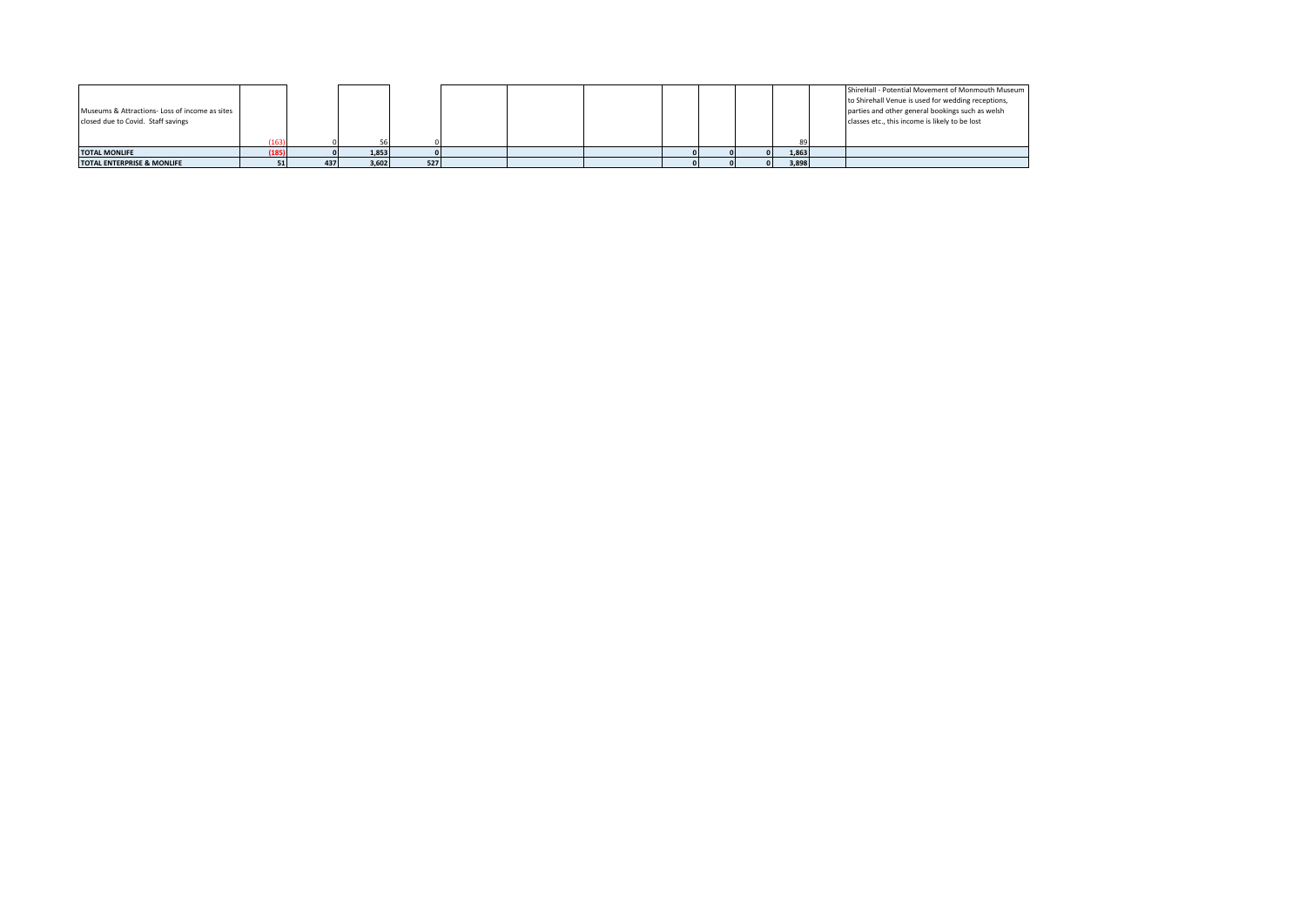|                                                |       |     |       |     |  |  |  |       | ShireHall - Potential Movement of Monmouth Museum  |
|------------------------------------------------|-------|-----|-------|-----|--|--|--|-------|----------------------------------------------------|
|                                                |       |     |       |     |  |  |  |       | to Shirehall Venue is used for wedding receptions, |
| Museums & Attractions- Loss of income as sites |       |     |       |     |  |  |  |       | parties and other general bookings such as welsh   |
| closed due to Covid. Staff savings             |       |     |       |     |  |  |  |       | classes etc., this income is likely to be lost     |
|                                                |       |     |       |     |  |  |  |       |                                                    |
|                                                |       |     |       |     |  |  |  |       |                                                    |
| <b>TOTAL MONLIFE</b>                           | (185) |     | 1,853 |     |  |  |  | 1,863 |                                                    |
| <b>TOTAL ENTERPRISE &amp; MONLIFE</b>          |       | 437 | 3,602 | 527 |  |  |  | 3,898 |                                                    |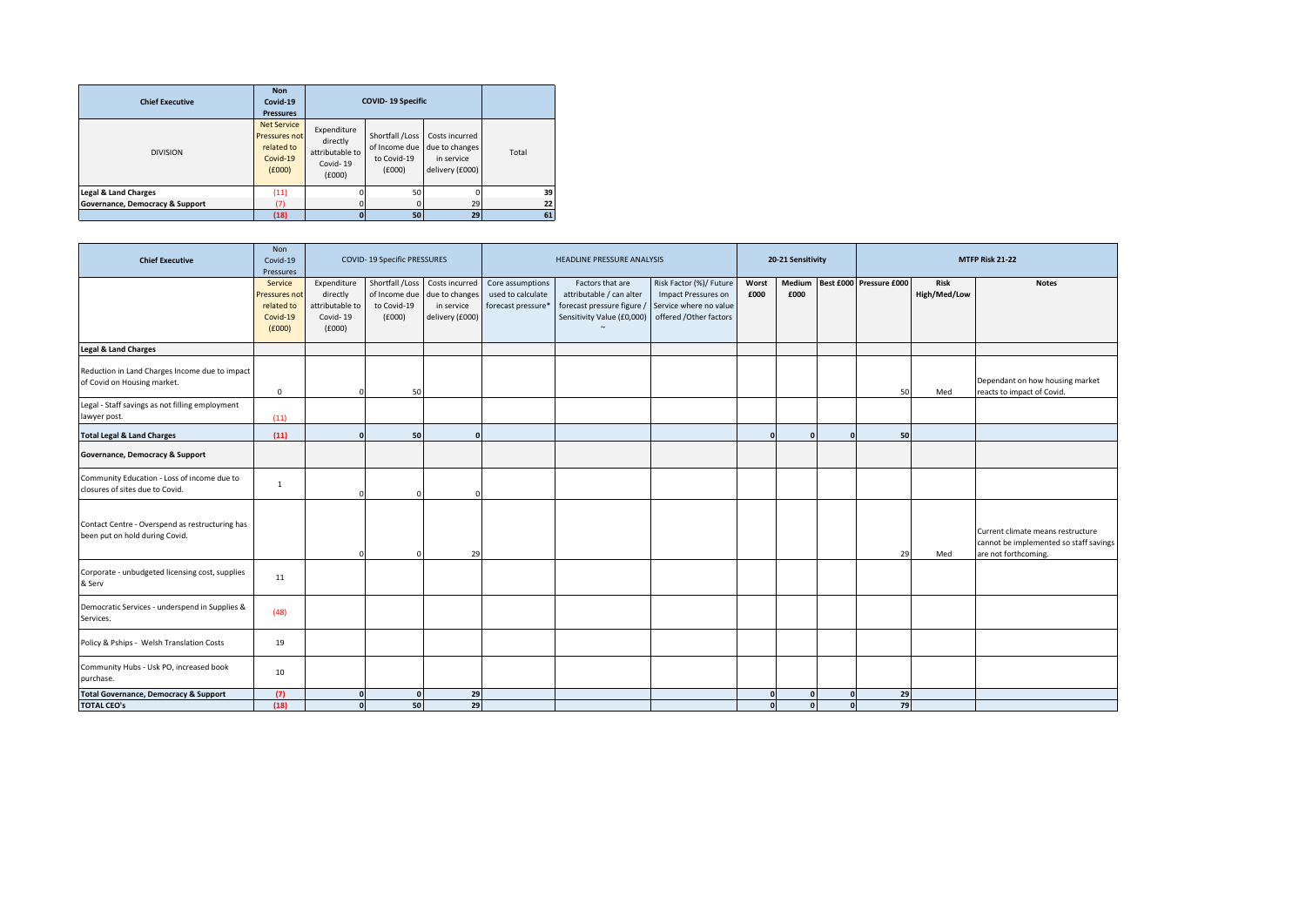| <b>Chief Executive</b>          | <b>Non</b><br>Covid-19<br><b>Pressures</b>                              |                                                                  | <b>COVID-19 Specific</b>                                  |                                                                   |       |    |
|---------------------------------|-------------------------------------------------------------------------|------------------------------------------------------------------|-----------------------------------------------------------|-------------------------------------------------------------------|-------|----|
| <b>DIVISION</b>                 | <b>Net Service</b><br>Pressures not<br>related to<br>Covid-19<br>(6000) | Expenditure<br>directly<br>attributable to<br>Covid-19<br>(E000) | Shortfall /Loss<br>of Income due<br>to Covid-19<br>(E000) | Costs incurred<br>due to changes<br>in service<br>delivery (£000) | Total |    |
| <b>Legal &amp; Land Charges</b> | (11)                                                                    |                                                                  | 50                                                        |                                                                   |       | 39 |
| Governance, Democracy & Support | (7)                                                                     |                                                                  |                                                           | 29                                                                |       | 22 |
|                                 | (18)                                                                    |                                                                  | 50                                                        | 29                                                                |       | 61 |

| <b>Chief Executive</b>                                                            | Non<br>Covid-19<br>Pressures                                 |                                                                  | COVID-19 Specific PRESSURES                               |                                                                   |                                                             | HEADLINE PRESSURE ANALYSIS                                                                               |                                                                                                    |               | 20-21 Sensitivity |                      |                                |                             | MTFP Risk 21-22                                                                                     |
|-----------------------------------------------------------------------------------|--------------------------------------------------------------|------------------------------------------------------------------|-----------------------------------------------------------|-------------------------------------------------------------------|-------------------------------------------------------------|----------------------------------------------------------------------------------------------------------|----------------------------------------------------------------------------------------------------|---------------|-------------------|----------------------|--------------------------------|-----------------------------|-----------------------------------------------------------------------------------------------------|
|                                                                                   | Service<br>Pressures not<br>related to<br>Covid-19<br>(£000) | Expenditure<br>directly<br>attributable to<br>Covid-19<br>(£000) | Shortfall /Loss<br>of Income due<br>to Covid-19<br>(£000) | Costs incurred<br>due to changes<br>in service<br>delivery (£000) | Core assumptions<br>used to calculate<br>forecast pressure* | Factors that are<br>attributable / can alter<br>forecast pressure figure /<br>Sensitivity Value (£0,000) | Risk Factor (%)/ Future<br>Impact Pressures on<br>Service where no value<br>offered /Other factors | Worst<br>£000 | £000              |                      | Medium Best £000 Pressure £000 | <b>Risk</b><br>High/Med/Low | <b>Notes</b>                                                                                        |
| <b>Legal &amp; Land Charges</b>                                                   |                                                              |                                                                  |                                                           |                                                                   |                                                             |                                                                                                          |                                                                                                    |               |                   |                      |                                |                             |                                                                                                     |
| Reduction in Land Charges Income due to impact<br>of Covid on Housing market.     | $\Omega$                                                     |                                                                  | 50                                                        |                                                                   |                                                             |                                                                                                          |                                                                                                    |               |                   |                      | 50                             | Med                         | Dependant on how housing market<br>reacts to impact of Covid.                                       |
| Legal - Staff savings as not filling employment<br>lawyer post.                   | (11)                                                         |                                                                  |                                                           |                                                                   |                                                             |                                                                                                          |                                                                                                    |               |                   |                      |                                |                             |                                                                                                     |
| <b>Total Legal &amp; Land Charges</b>                                             | (11)                                                         |                                                                  | 50                                                        | $\mathbf{r}$                                                      |                                                             |                                                                                                          |                                                                                                    |               | $\mathbf{r}$      | $\mathbf{0}$         | 50                             |                             |                                                                                                     |
| Governance, Democracy & Support                                                   |                                                              |                                                                  |                                                           |                                                                   |                                                             |                                                                                                          |                                                                                                    |               |                   |                      |                                |                             |                                                                                                     |
| Community Education - Loss of income due to<br>closures of sites due to Covid.    | 1                                                            |                                                                  |                                                           |                                                                   |                                                             |                                                                                                          |                                                                                                    |               |                   |                      |                                |                             |                                                                                                     |
| Contact Centre - Overspend as restructuring has<br>been put on hold during Covid. |                                                              |                                                                  |                                                           | 29                                                                |                                                             |                                                                                                          |                                                                                                    |               |                   |                      | 29                             | Med                         | Current climate means restructure<br>cannot be implemented so staff savings<br>are not forthcoming. |
| Corporate - unbudgeted licensing cost, supplies<br>& Serv                         | 11                                                           |                                                                  |                                                           |                                                                   |                                                             |                                                                                                          |                                                                                                    |               |                   |                      |                                |                             |                                                                                                     |
| Democratic Services - underspend in Supplies &<br>Services.                       | (48)                                                         |                                                                  |                                                           |                                                                   |                                                             |                                                                                                          |                                                                                                    |               |                   |                      |                                |                             |                                                                                                     |
| Policy & Pships - Welsh Translation Costs                                         | 19                                                           |                                                                  |                                                           |                                                                   |                                                             |                                                                                                          |                                                                                                    |               |                   |                      |                                |                             |                                                                                                     |
| Community Hubs - Usk PO, increased book<br>purchase.                              | 10                                                           |                                                                  |                                                           |                                                                   |                                                             |                                                                                                          |                                                                                                    |               |                   |                      |                                |                             |                                                                                                     |
| <b>Total Governance, Democracy &amp; Support</b><br><b>TOTAL CEO's</b>            | (7)<br>(18)                                                  |                                                                  | $\Omega$<br>50                                            | 29<br>29                                                          |                                                             |                                                                                                          |                                                                                                    |               | r<br>$\Omega$     | $\Omega$<br>$\Omega$ | 29<br>79                       |                             |                                                                                                     |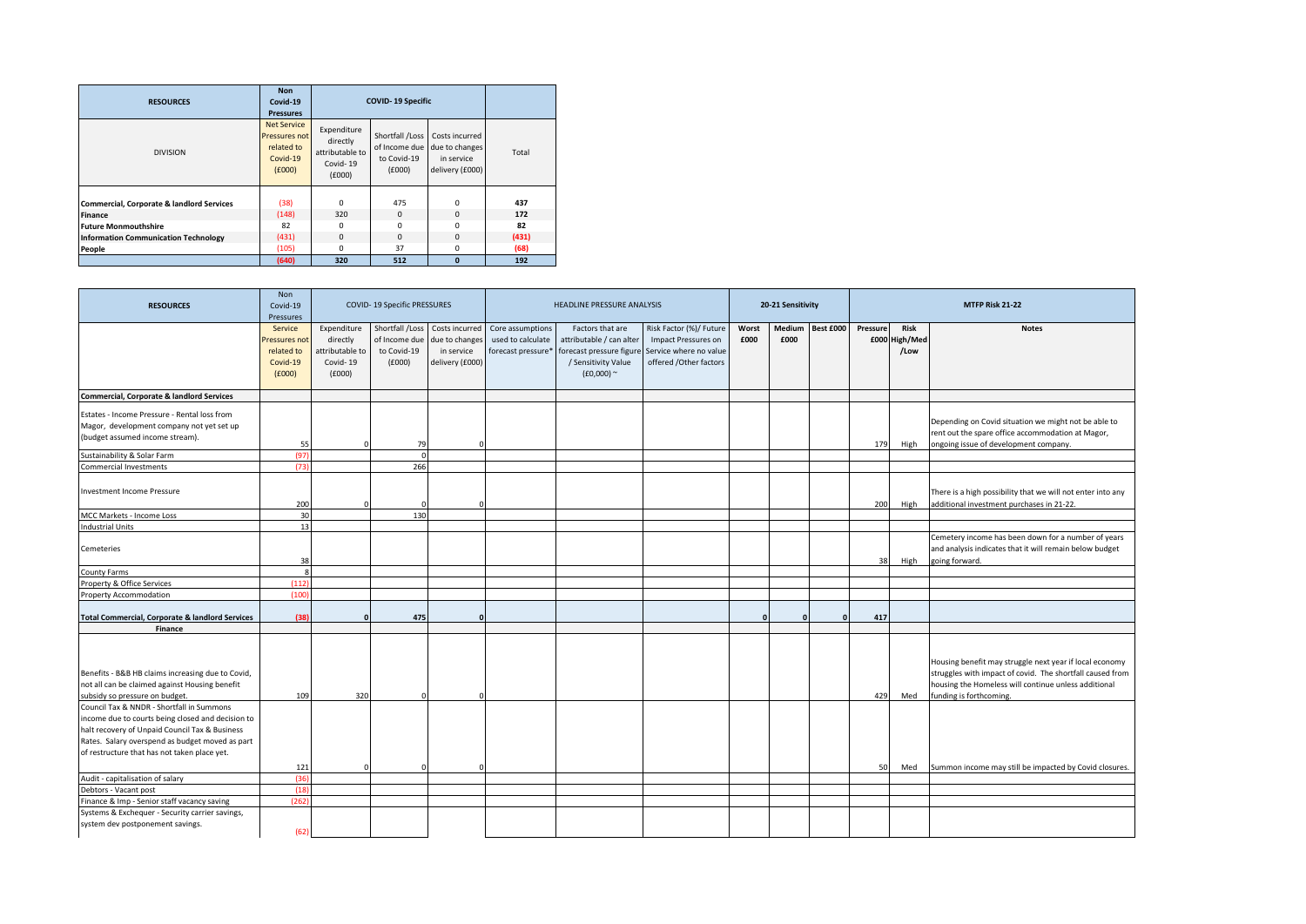| <b>RESOURCES</b>                            | <b>Non</b><br>Covid-19<br><b>Pressures</b>                              | <b>COVID-19 Specific</b>                                         |                                                           |                                                                   |       |  |  |  |
|---------------------------------------------|-------------------------------------------------------------------------|------------------------------------------------------------------|-----------------------------------------------------------|-------------------------------------------------------------------|-------|--|--|--|
| <b>DIVISION</b>                             | <b>Net Service</b><br>Pressures not<br>related to<br>Covid-19<br>(6000) | Expenditure<br>directly<br>attributable to<br>Covid-19<br>(6000) | Shortfall /Loss<br>of Income due<br>to Covid-19<br>(6000) | Costs incurred<br>due to changes<br>in service<br>delivery (£000) | Total |  |  |  |
| Commercial, Corporate & landlord Services   | (38)                                                                    | $\Omega$                                                         | 475                                                       | $\Omega$                                                          | 437   |  |  |  |
| <b>Finance</b>                              | (148)                                                                   | 320                                                              | 0                                                         | $\Omega$                                                          | 172   |  |  |  |
| <b>Future Monmouthshire</b>                 | 82                                                                      | $\Omega$                                                         | $\Omega$                                                  | O                                                                 | 82    |  |  |  |
| <b>Information Communication Technology</b> | (431)                                                                   | $\Omega$                                                         | 0                                                         | $\Omega$                                                          | (431) |  |  |  |
| People                                      | (105)                                                                   | $\Omega$                                                         | 37                                                        | $\Omega$                                                          | (68)  |  |  |  |
|                                             | (640)                                                                   | 320                                                              | 512                                                       | $\Omega$                                                          | 192   |  |  |  |

| <b>RESOURCES</b>                                                                                                                                                                                                                                    | <b>Non</b><br>Covid-19<br>Pressures                          | COVID-19 Specific PRESSURES                                     |                                                           |                                                                   | HEADLINE PRESSURE ANALYSIS                                  |                                                                                                                 |                                                                                                    | 20-21 Sensitivity |                |           |                  |                                 | MTFP Risk 21-22                                                                                                                                                                                         |
|-----------------------------------------------------------------------------------------------------------------------------------------------------------------------------------------------------------------------------------------------------|--------------------------------------------------------------|-----------------------------------------------------------------|-----------------------------------------------------------|-------------------------------------------------------------------|-------------------------------------------------------------|-----------------------------------------------------------------------------------------------------------------|----------------------------------------------------------------------------------------------------|-------------------|----------------|-----------|------------------|---------------------------------|---------------------------------------------------------------------------------------------------------------------------------------------------------------------------------------------------------|
|                                                                                                                                                                                                                                                     | Service<br>Pressures not<br>related to<br>Covid-19<br>(£000) | Expenditure<br>directly<br>ttributable to<br>Covid-19<br>(6000) | Shortfall /Loss<br>of Income due<br>to Covid-19<br>(£000) | Costs incurred<br>due to changes<br>in service<br>delivery (£000) | Core assumptions<br>used to calculate<br>forecast pressure* | Factors that are<br>attributable / can alter<br>forecast pressure figure<br>/ Sensitivity Value<br>$(£0,000)$ ~ | Risk Factor (%)/ Future<br>Impact Pressures on<br>Service where no value<br>offered /Other factors | Worst<br>£000     | Medium<br>£000 | Best £000 | Pressure<br>£000 | <b>Risk</b><br>High/Med<br>/Low | <b>Notes</b>                                                                                                                                                                                            |
| <b>Commercial, Corporate &amp; landlord Services</b>                                                                                                                                                                                                |                                                              |                                                                 |                                                           |                                                                   |                                                             |                                                                                                                 |                                                                                                    |                   |                |           |                  |                                 |                                                                                                                                                                                                         |
| Estates - Income Pressure - Rental loss from<br>Magor, development company not yet set up<br>(budget assumed income stream).                                                                                                                        | 55                                                           |                                                                 | 79                                                        |                                                                   |                                                             |                                                                                                                 |                                                                                                    |                   |                |           | 179              | High                            | Depending on Covid situation we might not be able to<br>rent out the spare office accommodation at Magor,<br>ongoing issue of development company.                                                      |
| Sustainability & Solar Farm                                                                                                                                                                                                                         | (97)                                                         |                                                                 |                                                           |                                                                   |                                                             |                                                                                                                 |                                                                                                    |                   |                |           |                  |                                 |                                                                                                                                                                                                         |
| <b>Commercial Investments</b><br><b>Investment Income Pressure</b>                                                                                                                                                                                  | (73)<br>200                                                  |                                                                 | 266                                                       |                                                                   |                                                             |                                                                                                                 |                                                                                                    |                   |                |           | 200              | High                            | There is a high possibility that we will not enter into any<br>additional investment purchases in 21-22.                                                                                                |
| MCC Markets - Income Loss                                                                                                                                                                                                                           | 30                                                           |                                                                 | 130                                                       |                                                                   |                                                             |                                                                                                                 |                                                                                                    |                   |                |           |                  |                                 |                                                                                                                                                                                                         |
| ndustrial Units                                                                                                                                                                                                                                     | 13                                                           |                                                                 |                                                           |                                                                   |                                                             |                                                                                                                 |                                                                                                    |                   |                |           |                  |                                 |                                                                                                                                                                                                         |
| Cemeteries                                                                                                                                                                                                                                          | 38                                                           |                                                                 |                                                           |                                                                   |                                                             |                                                                                                                 |                                                                                                    |                   |                |           | 38               | High                            | Cemetery income has been down for a number of years<br>and analysis indicates that it will remain below budget<br>going forward.                                                                        |
| County Farms                                                                                                                                                                                                                                        | S,                                                           |                                                                 |                                                           |                                                                   |                                                             |                                                                                                                 |                                                                                                    |                   |                |           |                  |                                 |                                                                                                                                                                                                         |
| Property & Office Services                                                                                                                                                                                                                          | (112)                                                        |                                                                 |                                                           |                                                                   |                                                             |                                                                                                                 |                                                                                                    |                   |                |           |                  |                                 |                                                                                                                                                                                                         |
| Property Accommodation                                                                                                                                                                                                                              | (100)                                                        |                                                                 |                                                           |                                                                   |                                                             |                                                                                                                 |                                                                                                    |                   |                |           |                  |                                 |                                                                                                                                                                                                         |
| <b>Total Commercial, Corporate &amp; landlord Services</b>                                                                                                                                                                                          | (38)                                                         |                                                                 | 475                                                       |                                                                   |                                                             |                                                                                                                 |                                                                                                    | $\mathsf{r}$      | $\Omega$       | $\Omega$  | 417              |                                 |                                                                                                                                                                                                         |
| Finance                                                                                                                                                                                                                                             |                                                              |                                                                 |                                                           |                                                                   |                                                             |                                                                                                                 |                                                                                                    |                   |                |           |                  |                                 |                                                                                                                                                                                                         |
| Benefits - B&B HB claims increasing due to Covid,<br>not all can be claimed against Housing benefit<br>subsidy so pressure on budget.                                                                                                               | 109                                                          | 320                                                             |                                                           |                                                                   |                                                             |                                                                                                                 |                                                                                                    |                   |                |           | 429              | Med                             | Housing benefit may struggle next year if local economy<br>struggles with impact of covid. The shortfall caused from<br>housing the Homeless will continue unless additional<br>funding is forthcoming. |
| Council Tax & NNDR - Shortfall in Summons<br>income due to courts being closed and decision to<br>halt recovery of Unpaid Council Tax & Business<br>Rates. Salary overspend as budget moved as part<br>of restructure that has not taken place yet. |                                                              |                                                                 |                                                           |                                                                   |                                                             |                                                                                                                 |                                                                                                    |                   |                |           |                  |                                 |                                                                                                                                                                                                         |
|                                                                                                                                                                                                                                                     | 121                                                          |                                                                 |                                                           |                                                                   |                                                             |                                                                                                                 |                                                                                                    |                   |                |           | 50               | Med                             | Summon income may still be impacted by Covid closures.                                                                                                                                                  |
| Audit - capitalisation of salary                                                                                                                                                                                                                    | (36)                                                         |                                                                 |                                                           |                                                                   |                                                             |                                                                                                                 |                                                                                                    |                   |                |           |                  |                                 |                                                                                                                                                                                                         |
| Debtors - Vacant post                                                                                                                                                                                                                               | (18)                                                         |                                                                 |                                                           |                                                                   |                                                             |                                                                                                                 |                                                                                                    |                   |                |           |                  |                                 |                                                                                                                                                                                                         |
| Finance & Imp - Senior staff vacancy saving                                                                                                                                                                                                         | (262)                                                        |                                                                 |                                                           |                                                                   |                                                             |                                                                                                                 |                                                                                                    |                   |                |           |                  |                                 |                                                                                                                                                                                                         |
| Systems & Exchequer - Security carrier savings,<br>system dev postponement savings.                                                                                                                                                                 | (62)                                                         |                                                                 |                                                           |                                                                   |                                                             |                                                                                                                 |                                                                                                    |                   |                |           |                  |                                 |                                                                                                                                                                                                         |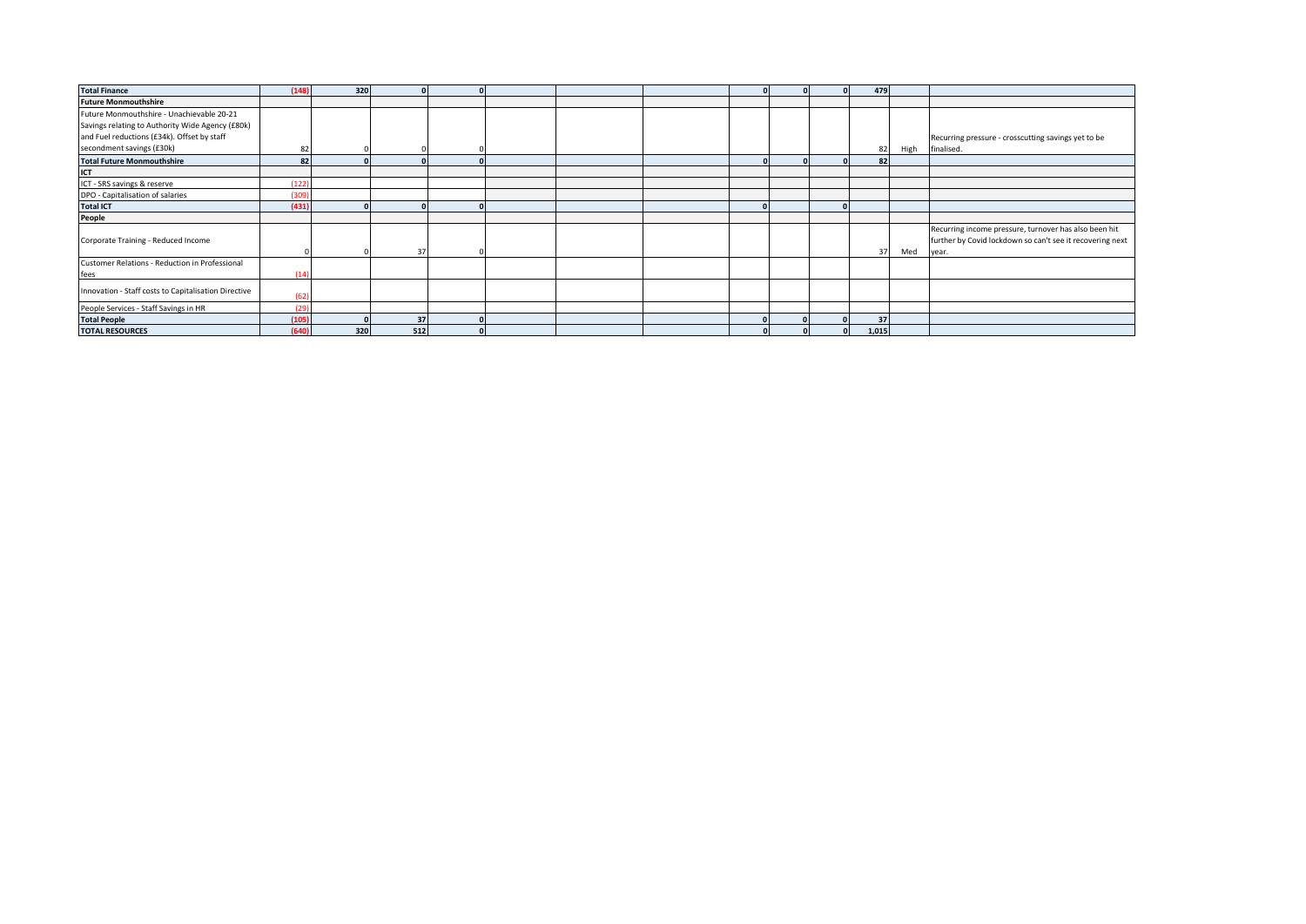| <b>Total Finance</b>                                 | (148) | 320 |     |          |  |  |  | 479   |      |                                                           |
|------------------------------------------------------|-------|-----|-----|----------|--|--|--|-------|------|-----------------------------------------------------------|
| <b>Future Monmouthshire</b>                          |       |     |     |          |  |  |  |       |      |                                                           |
| Future Monmouthshire - Unachievable 20-21            |       |     |     |          |  |  |  |       |      |                                                           |
| Savings relating to Authority Wide Agency (£80k)     |       |     |     |          |  |  |  |       |      |                                                           |
| and Fuel reductions (£34k). Offset by staff          |       |     |     |          |  |  |  |       |      | Recurring pressure - crosscutting savings yet to be       |
| secondment savings (£30k)                            | 82    |     |     |          |  |  |  | 82    | High | finalised.                                                |
| <b>Total Future Monmouthshire</b>                    | 82    |     |     |          |  |  |  | 82    |      |                                                           |
| ICT                                                  |       |     |     |          |  |  |  |       |      |                                                           |
| ICT - SRS savings & reserve                          | 122   |     |     |          |  |  |  |       |      |                                                           |
| DPO - Capitalisation of salaries                     | (309  |     |     |          |  |  |  |       |      |                                                           |
| <b>Total ICT</b>                                     | (431, |     |     |          |  |  |  |       |      |                                                           |
| People                                               |       |     |     |          |  |  |  |       |      |                                                           |
|                                                      |       |     |     |          |  |  |  |       |      | Recurring income pressure, turnover has also been hit     |
| Corporate Training - Reduced Income                  |       |     |     |          |  |  |  |       |      | further by Covid lockdown so can't see it recovering next |
|                                                      |       |     | 37  |          |  |  |  | 37    | Med  | year.                                                     |
| Customer Relations - Reduction in Professional       |       |     |     |          |  |  |  |       |      |                                                           |
| fees                                                 | (14)  |     |     |          |  |  |  |       |      |                                                           |
| Innovation - Staff costs to Capitalisation Directive |       |     |     |          |  |  |  |       |      |                                                           |
|                                                      | (62)  |     |     |          |  |  |  |       |      |                                                           |
| People Services - Staff Savings in HR                | (29)  |     |     |          |  |  |  |       |      |                                                           |
| <b>Total People</b>                                  | (105) |     | 37  | $\Omega$ |  |  |  | 37    |      |                                                           |
| <b>TOTAL RESOURCES</b>                               | (640) | 320 | 512 |          |  |  |  | 1,015 |      |                                                           |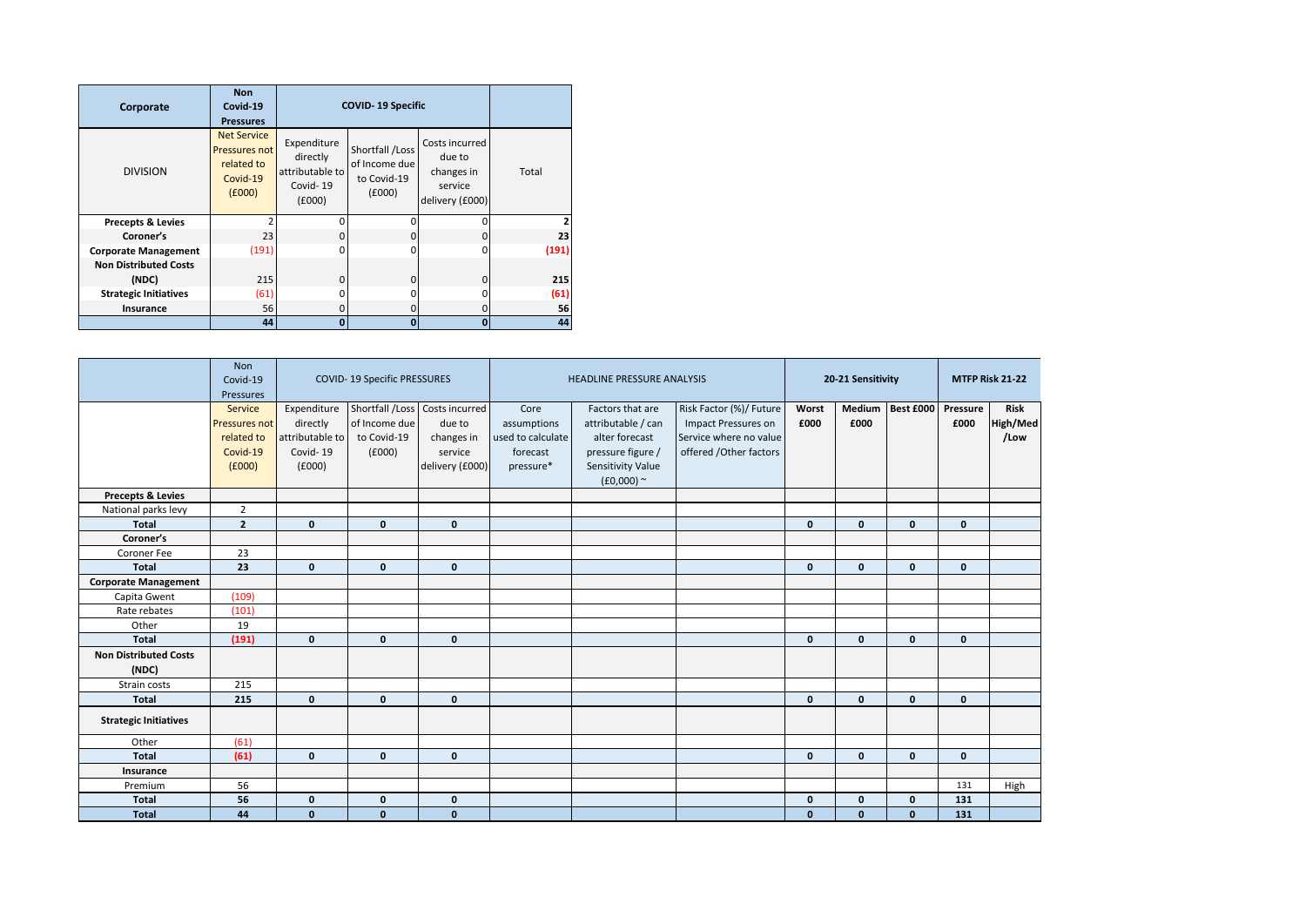| Corporate                                                             | <b>Non</b><br>Covid-19<br><b>Pressures</b>                              | <b>COVID-19 Specific</b>                                         |                                                           |                                                                      |             |
|-----------------------------------------------------------------------|-------------------------------------------------------------------------|------------------------------------------------------------------|-----------------------------------------------------------|----------------------------------------------------------------------|-------------|
| <b>DIVISION</b>                                                       | <b>Net Service</b><br>Pressures not<br>related to<br>Covid-19<br>(6000) | Expenditure<br>directly<br>attributable to<br>Covid-19<br>(6000) | Shortfall /Loss<br>of Income due<br>to Covid-19<br>(£000) | Costs incurred<br>due to<br>changes in<br>service<br>delivery (£000) | Total       |
| <b>Precepts &amp; Levies</b>                                          |                                                                         | n                                                                | 0                                                         |                                                                      |             |
| Coroner's                                                             | 23                                                                      | ŋ                                                                | $\Omega$                                                  | $\Omega$                                                             | 23          |
| <b>Corporate Management</b>                                           | (191)                                                                   | n                                                                | ŋ                                                         | n                                                                    | (191)       |
| <b>Non Distributed Costs</b><br>(NDC)<br><b>Strategic Initiatives</b> | 215<br>(61)                                                             | $\Omega$                                                         | 0<br>ŋ                                                    | $\Omega$<br>ŋ                                                        | 215<br>(61) |
| Insurance                                                             | 56                                                                      | ŋ                                                                | 0                                                         | $\Omega$                                                             | 56          |
|                                                                       | 44                                                                      | o                                                                | $\Omega$                                                  | $\Omega$                                                             | 44          |

|                                       | <b>Non</b><br>Covid-19<br>Pressures |                 | <b>COVID-19 Specific PRESSURES</b> |                 |                   | <b>HEADLINE PRESSURE ANALYSIS</b> |                         |              | 20-21 Sensitivity |              | MTFP Risk 21-22 |             |
|---------------------------------------|-------------------------------------|-----------------|------------------------------------|-----------------|-------------------|-----------------------------------|-------------------------|--------------|-------------------|--------------|-----------------|-------------|
|                                       | Service                             | Expenditure     | Shortfall /Loss                    | Costs incurred  | Core              | Factors that are                  | Risk Factor (%)/ Future | Worst        | Medium            | Best £000    | Pressure        | <b>Risk</b> |
|                                       | Pressures not                       | directly        | of Income due                      | due to          | assumptions       | attributable / can                | Impact Pressures on     | £000         | £000              |              | £000            | High/Med    |
|                                       | related to                          | attributable to | to Covid-19                        | changes in      | used to calculate | alter forecast                    | Service where no value  |              |                   |              |                 | /Low        |
|                                       | Covid-19                            | Covid-19        | (f000)                             | service         | forecast          | pressure figure /                 | offered /Other factors  |              |                   |              |                 |             |
|                                       | f(000)                              | f(000)          |                                    | delivery (£000) | pressure*         | Sensitivity Value                 |                         |              |                   |              |                 |             |
|                                       |                                     |                 |                                    |                 |                   | $(£0,000)$ ~                      |                         |              |                   |              |                 |             |
| <b>Precepts &amp; Levies</b>          |                                     |                 |                                    |                 |                   |                                   |                         |              |                   |              |                 |             |
| National parks levy                   | $\overline{2}$                      |                 |                                    |                 |                   |                                   |                         |              |                   |              |                 |             |
| <b>Total</b>                          | $\overline{2}$                      | $\mathbf{0}$    | $\mathbf{0}$                       | $\mathbf{0}$    |                   |                                   |                         | $\mathbf{0}$ | $\Omega$          | $\mathbf{0}$ | $\mathbf{0}$    |             |
| Coroner's                             |                                     |                 |                                    |                 |                   |                                   |                         |              |                   |              |                 |             |
| Coroner Fee                           | 23                                  |                 |                                    |                 |                   |                                   |                         |              |                   |              |                 |             |
| <b>Total</b>                          | 23                                  | $\mathbf{0}$    | $\mathbf{0}$                       | $\mathbf{0}$    |                   |                                   |                         | $\mathbf{0}$ | $\mathbf{0}$      | $\mathbf{0}$ | $\mathbf{0}$    |             |
| <b>Corporate Management</b>           |                                     |                 |                                    |                 |                   |                                   |                         |              |                   |              |                 |             |
| Capita Gwent                          | (109)                               |                 |                                    |                 |                   |                                   |                         |              |                   |              |                 |             |
| Rate rebates                          | (101)                               |                 |                                    |                 |                   |                                   |                         |              |                   |              |                 |             |
| Other                                 | 19                                  |                 |                                    |                 |                   |                                   |                         |              |                   |              |                 |             |
| <b>Total</b>                          | (191)                               | $\mathbf{0}$    | $\mathbf{0}$                       | $\mathbf{0}$    |                   |                                   |                         | $\mathbf{0}$ | $\mathbf{0}$      | $\mathbf{0}$ | $\mathbf{0}$    |             |
| <b>Non Distributed Costs</b><br>(NDC) |                                     |                 |                                    |                 |                   |                                   |                         |              |                   |              |                 |             |
| Strain costs                          | 215                                 |                 |                                    |                 |                   |                                   |                         |              |                   |              |                 |             |
| <b>Total</b>                          | 215                                 | $\mathbf{0}$    | $\mathbf{0}$                       | $\mathbf{0}$    |                   |                                   |                         | $\mathbf{0}$ | $\mathbf{0}$      | $\mathbf{0}$ | $\mathbf{0}$    |             |
| <b>Strategic Initiatives</b>          |                                     |                 |                                    |                 |                   |                                   |                         |              |                   |              |                 |             |
| Other                                 | (61)                                |                 |                                    |                 |                   |                                   |                         |              |                   |              |                 |             |
| <b>Total</b>                          | (61)                                | $\mathbf{0}$    | $\mathbf 0$                        | $\mathbf{0}$    |                   |                                   |                         | $\mathbf{0}$ | $\mathbf 0$       | $\mathbf{0}$ | $\mathbf{0}$    |             |
| Insurance                             |                                     |                 |                                    |                 |                   |                                   |                         |              |                   |              |                 |             |
| Premium                               | 56                                  |                 |                                    |                 |                   |                                   |                         |              |                   |              | 131             | High        |
| <b>Total</b>                          | 56                                  | $\mathbf 0$     | $\mathbf 0$                        | $\mathbf{0}$    |                   |                                   |                         | $\mathbf{0}$ | $\mathbf 0$       | $\mathbf{0}$ | 131             |             |
| <b>Total</b>                          | 44                                  | $\mathbf{0}$    | $\mathbf{0}$                       | $\mathbf{0}$    |                   |                                   |                         | $\mathbf{0}$ | $\mathbf{0}$      | $\mathbf{0}$ | 131             |             |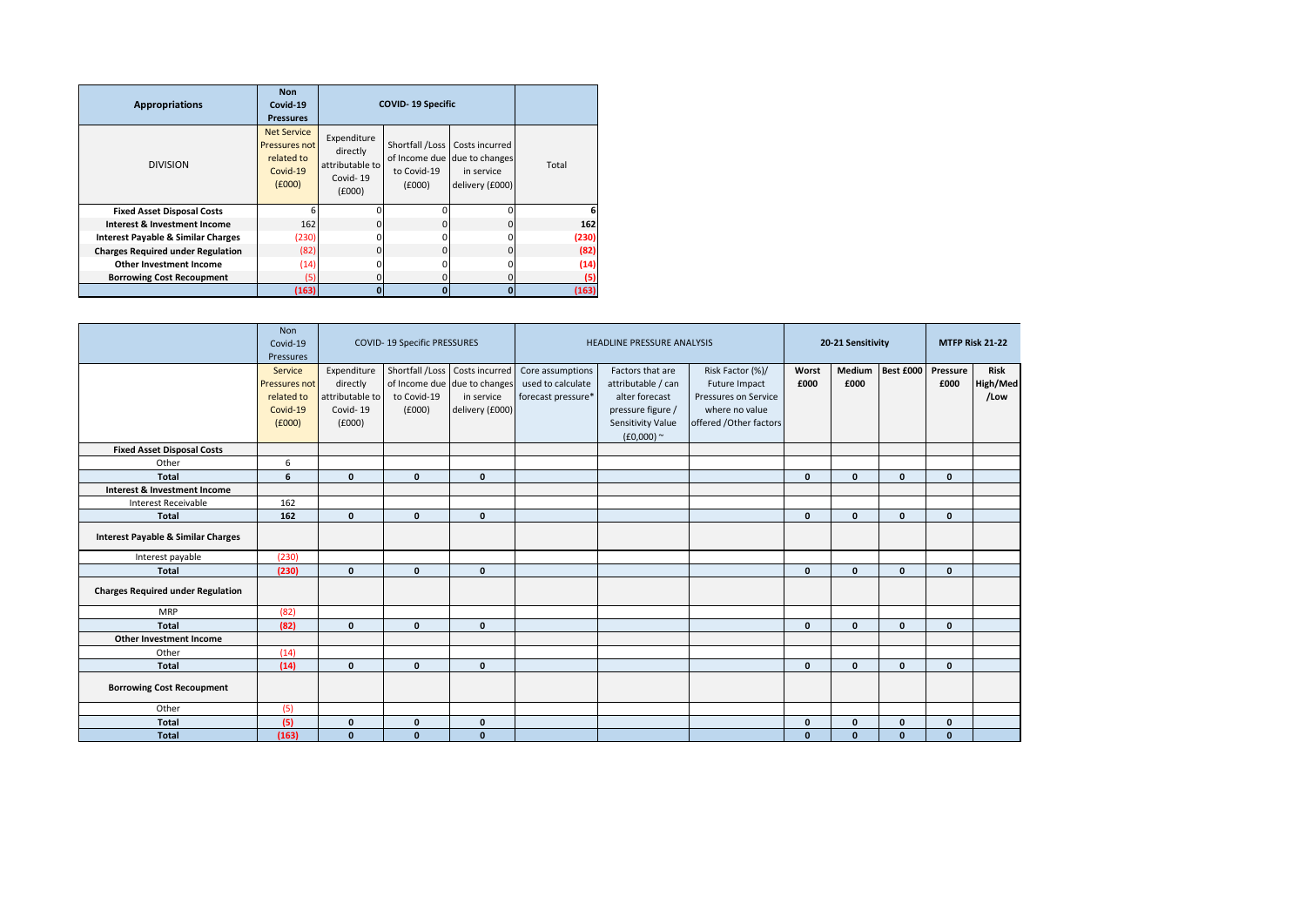| <b>Appropriations</b>                         | <b>Non</b><br>Covid-19<br><b>Pressures</b>                              |                                                                  | <b>COVID-19 Specific</b>                 |                                                                                 |       |  |  |  |  |  |
|-----------------------------------------------|-------------------------------------------------------------------------|------------------------------------------------------------------|------------------------------------------|---------------------------------------------------------------------------------|-------|--|--|--|--|--|
| <b>DIVISION</b>                               | <b>Net Service</b><br>Pressures not<br>related to<br>Covid-19<br>f(000) | Expenditure<br>directly<br>attributable to<br>Covid-19<br>(£000) | Shortfall /Loss<br>to Covid-19<br>(£000) | Costs incurred<br>of Income due due to changes<br>in service<br>delivery (£000) | Total |  |  |  |  |  |
| <b>Fixed Asset Disposal Costs</b>             |                                                                         |                                                                  | n                                        | n                                                                               |       |  |  |  |  |  |
| Interest & Investment Income                  | 162                                                                     |                                                                  | $\Omega$                                 | 0                                                                               | 162   |  |  |  |  |  |
| <b>Interest Payable &amp; Similar Charges</b> | (230)                                                                   |                                                                  | O                                        | 0                                                                               | (230) |  |  |  |  |  |
| <b>Charges Required under Regulation</b>      | (82)                                                                    |                                                                  | $\Omega$                                 | $\Omega$                                                                        | (82)  |  |  |  |  |  |
| <b>Other Investment Income</b>                | (14)                                                                    |                                                                  | ŋ                                        | 0                                                                               | (14)  |  |  |  |  |  |
| <b>Borrowing Cost Recoupment</b>              | (5)                                                                     |                                                                  | $\Omega$                                 | 0                                                                               | (5)   |  |  |  |  |  |
|                                               | (163)                                                                   | n                                                                | o                                        | $\bf{0}$                                                                        | (163) |  |  |  |  |  |

|                                               | <b>Non</b><br>Covid-19<br>Pressures                          |                                                                  | <b>COVID-19 Specific PRESSURES</b>       |                                                                                 |                                                             | <b>HEADLINE PRESSURE ANALYSIS</b>                                                                                  |                                                                                                        | 20-21 Sensitivity | MTFP Risk 21-22 |              |                  |                                 |
|-----------------------------------------------|--------------------------------------------------------------|------------------------------------------------------------------|------------------------------------------|---------------------------------------------------------------------------------|-------------------------------------------------------------|--------------------------------------------------------------------------------------------------------------------|--------------------------------------------------------------------------------------------------------|-------------------|-----------------|--------------|------------------|---------------------------------|
|                                               | Service<br>Pressures not<br>related to<br>Covid-19<br>(f000) | Expenditure<br>directly<br>attributable to<br>Covid-19<br>(E000) | Shortfall /Loss<br>to Covid-19<br>(£000) | Costs incurred<br>of Income due due to changes<br>in service<br>delivery (£000) | Core assumptions<br>used to calculate<br>forecast pressure* | Factors that are<br>attributable / can<br>alter forecast<br>pressure figure /<br>Sensitivity Value<br>$(E0,000)$ ~ | Risk Factor (%)/<br>Future Impact<br>Pressures on Service<br>where no value<br>offered / Other factors | Worst<br>£000     | Medium<br>£000  | Best £000    | Pressure<br>£000 | <b>Risk</b><br>High/Med<br>/Low |
| <b>Fixed Asset Disposal Costs</b>             |                                                              |                                                                  |                                          |                                                                                 |                                                             |                                                                                                                    |                                                                                                        |                   |                 |              |                  |                                 |
| Other                                         | 6                                                            |                                                                  |                                          |                                                                                 |                                                             |                                                                                                                    |                                                                                                        |                   |                 |              |                  |                                 |
| <b>Total</b>                                  | 6                                                            | $\mathbf{0}$                                                     | $\mathbf{0}$                             | $\mathbf{0}$                                                                    |                                                             |                                                                                                                    |                                                                                                        | $\mathbf{0}$      | $\mathbf{0}$    | $\mathbf{0}$ | $\mathbf{0}$     |                                 |
| <b>Interest &amp; Investment Income</b>       |                                                              |                                                                  |                                          |                                                                                 |                                                             |                                                                                                                    |                                                                                                        |                   |                 |              |                  |                                 |
| <b>Interest Receivable</b>                    | 162                                                          |                                                                  |                                          |                                                                                 |                                                             |                                                                                                                    |                                                                                                        |                   |                 |              |                  |                                 |
| <b>Total</b>                                  | 162                                                          | $\mathbf{0}$                                                     | $\mathbf{0}$                             | $\mathbf{0}$                                                                    |                                                             |                                                                                                                    |                                                                                                        | $\mathbf{0}$      | $\mathbf{0}$    | $\mathbf{0}$ | $\mathbf{0}$     |                                 |
| <b>Interest Payable &amp; Similar Charges</b> |                                                              |                                                                  |                                          |                                                                                 |                                                             |                                                                                                                    |                                                                                                        |                   |                 |              |                  |                                 |
| Interest payable                              | (230)                                                        |                                                                  |                                          |                                                                                 |                                                             |                                                                                                                    |                                                                                                        |                   |                 |              |                  |                                 |
| <b>Total</b>                                  | (230)                                                        | $\mathbf{0}$                                                     | $\mathbf{0}$                             | $\mathbf{0}$                                                                    |                                                             |                                                                                                                    |                                                                                                        | $\mathbf{0}$      | $\mathbf{0}$    | $\mathbf{0}$ | $\mathbf{0}$     |                                 |
| <b>Charges Required under Regulation</b>      |                                                              |                                                                  |                                          |                                                                                 |                                                             |                                                                                                                    |                                                                                                        |                   |                 |              |                  |                                 |
| <b>MRP</b>                                    | (82)                                                         |                                                                  |                                          |                                                                                 |                                                             |                                                                                                                    |                                                                                                        |                   |                 |              |                  |                                 |
| <b>Total</b>                                  | (82)                                                         | $\mathbf{0}$                                                     | $\mathbf{0}$                             | $\mathbf{0}$                                                                    |                                                             |                                                                                                                    |                                                                                                        | $\Omega$          | $\mathbf{0}$    | $\mathbf{0}$ | $\mathbf{0}$     |                                 |
| <b>Other Investment Income</b>                |                                                              |                                                                  |                                          |                                                                                 |                                                             |                                                                                                                    |                                                                                                        |                   |                 |              |                  |                                 |
| Other                                         | (14)                                                         |                                                                  |                                          |                                                                                 |                                                             |                                                                                                                    |                                                                                                        |                   |                 |              |                  |                                 |
| <b>Total</b>                                  | (14)                                                         | $\mathbf{0}$                                                     | $\mathbf{0}$                             | $\mathbf{0}$                                                                    |                                                             |                                                                                                                    |                                                                                                        | $\mathbf{0}$      | $\mathbf{0}$    | $\mathbf{0}$ | $\mathbf{0}$     |                                 |
| <b>Borrowing Cost Recoupment</b>              |                                                              |                                                                  |                                          |                                                                                 |                                                             |                                                                                                                    |                                                                                                        |                   |                 |              |                  |                                 |
| Other                                         | (5)                                                          |                                                                  |                                          |                                                                                 |                                                             |                                                                                                                    |                                                                                                        |                   |                 |              |                  |                                 |
| <b>Total</b>                                  | (5)                                                          | $\mathbf{0}$                                                     | $\mathbf{0}$                             | $\mathbf{0}$                                                                    |                                                             |                                                                                                                    |                                                                                                        | $\Omega$          | $\mathbf{0}$    | $\mathbf{0}$ | $\mathbf{0}$     |                                 |
| <b>Total</b>                                  | (163)                                                        | $\mathbf{0}$                                                     | $\mathbf{0}$                             | $\mathbf{0}$                                                                    |                                                             |                                                                                                                    |                                                                                                        | $\bf{0}$          | $\mathbf{0}$    | $\mathbf{0}$ | $\mathbf{0}$     |                                 |